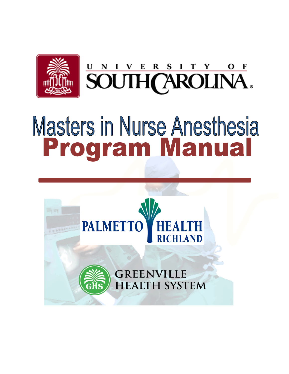

# **Masters in Nurse Anesthesia** Program Manual

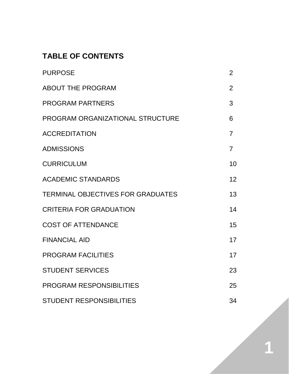# **TABLE OF CONTENTS**

| <b>PURPOSE</b>                    | 2              |
|-----------------------------------|----------------|
| <b>ABOUT THE PROGRAM</b>          | $\overline{2}$ |
| <b>PROGRAM PARTNERS</b>           | 3              |
| PROGRAM ORGANIZATIONAL STRUCTURE  | 6              |
| <b>ACCREDITATION</b>              | $\overline{7}$ |
| <b>ADMISSIONS</b>                 | $\overline{7}$ |
| <b>CURRICULUM</b>                 | 10             |
| <b>ACADEMIC STANDARDS</b>         | 12             |
| TERMINAL OBJECTIVES FOR GRADUATES | 13             |
| <b>CRITERIA FOR GRADUATION</b>    | 14             |
| <b>COST OF ATTENDANCE</b>         | 15             |
| <b>FINANCIAL AID</b>              | 17             |
| <b>PROGRAM FACILITIES</b>         | 17             |
| <b>STUDENT SERVICES</b>           | 23             |
| PROGRAM RESPONSIBILITIES          | 25             |
| <b>STUDENT RESPONSIBILITIES</b>   | 34             |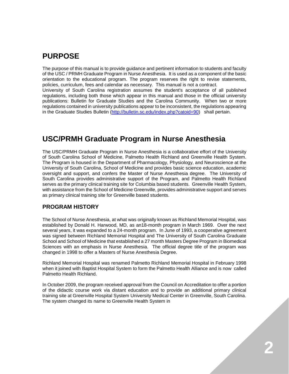# **PURPOSE**

The purpose of this manual is to provide guidance and pertinent information to students and faculty of the USC / PRMH Graduate Program in Nurse Anesthesia. It is used as a component of the basic orientation to the educational program. The program reserves the right to revise statements, policies, curriculum, fees and calendar as necessary. This manual is not a contract. University of South Carolina registration assumes the student's acceptance of all published regulations, including both those which appear in this manual and those in the official university publications: Bulletin for Graduate Studies and the Carolina Community. When two or more regulations contained in university publications appear to be inconsistent, the regulations appearing in the Graduate Studies Bulletin [\(http://bulletin.sc.edu/index.php?catoid=90\)](http://bulletin.sc.edu/index.php?catoid=90) shall pertain.

# **USC/PRMH Graduate Program in Nurse Anesthesia**

The USC/PRMH Graduate Program in Nurse Anesthesia is a collaborative effort of the University of South Carolina School of Medicine, Palmetto Health Richland and Greenville Health System. The Program is housed in the Department of Pharmacology, Physiology, and Neuroscience at the University of South Carolina, School of Medicine and provides basic science education, academic oversight and support, and confers the Master of Nurse Anesthesia degree. The University of South Carolina provides administrative support of the Program, and Palmetto Health Richland serves as the primary clinical training site for Columbia based students. Greenville Health System, with assistance from the School of Medicine Greenville, provides administrative support and serves as primary clinical training site for Greenville based students.

## **PROGRAM HISTORY**

The School of Nurse Anesthesia, at what was originally known as Richland Memorial Hospital, was established by Donald H. Harwood, MD, as an18-month program in March 1969. Over the next several years, it was expanded to a 24-month program. In June of 1993, a cooperative agreement was signed between Richland Memorial Hospital and The University of South Carolina Graduate School and School of Medicine that established a 27 month Masters Degree Program in Biomedical Sciences with an emphasis in Nurse Anesthesia. The official degree title of the program was changed in 1998 to offer a Masters of Nurse Anesthesia Degree.

Richland Memorial Hospital was renamed Palmetto Richland Memorial Hospital in February 1998 when it joined with Baptist Hospital System to form the Palmetto Health Alliance and is now called Palmetto Health Richland.

In October 2009, the program received approval from the Council on Accreditation to offer a portion of the didactic course work via distant education and to provide an additional primary clinical training site at Greenville Hospital System University Medical Center in Greenville, South Carolina. The system changed its name to Greenville Health System in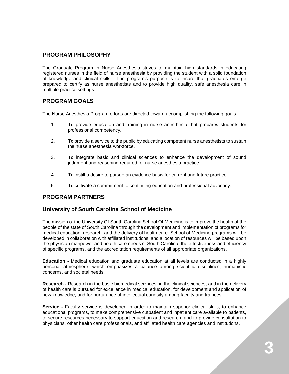## **PROGRAM PHILOSOPHY**

The Graduate Program in Nurse Anesthesia strives to maintain high standards in educating registered nurses in the field of nurse anesthesia by providing the student with a solid foundation of knowledge and clinical skills. The program's purpose is to insure that graduates emerge prepared to certify as nurse anesthetists and to provide high quality, safe anesthesia care in multiple practice settings.

## **PROGRAM GOALS**

The Nurse Anesthesia Program efforts are directed toward accomplishing the following goals:

- 1. To provide education and training in nurse anesthesia that prepares students for professional competency.
- 2. To provide a service to the public by educating competent nurse anesthetists to sustain the nurse anesthesia workforce.
- 3. To integrate basic and clinical sciences to enhance the development of sound judgment and reasoning required for nurse anesthesia practice.
- 4. To instill a desire to pursue an evidence basis for current and future practice.
- 5. To cultivate a commitment to continuing education and professional advocacy.

## **PROGRAM PARTNERS**

## **University of South Carolina School of Medicine**

The mission of the University Of South Carolina School Of Medicine is to improve the health of the people of the state of South Carolina through the development and implementation of programs for medical education, research, and the delivery of health care. School of Medicine programs will be developed in collaboration with affiliated institutions, and allocation of resources will be based upon the physician manpower and health care needs of South Carolina, the effectiveness and efficiency of specific programs, and the accreditation requirements of all appropriate organizations.

**Education -** Medical education and graduate education at all levels are conducted in a highly personal atmosphere, which emphasizes a balance among scientific disciplines, humanistic concerns, and societal needs.

**Research -** Research in the basic biomedical sciences, in the clinical sciences, and in the delivery of health care is pursued for excellence in medical education, for development and application of new knowledge, and for nurturance of intellectual curiosity among faculty and trainees.

**Service -** Faculty service is developed in order to maintain superior clinical skills, to enhance educational programs, to make comprehensive outpatient and inpatient care available to patients, to secure resources necessary to support education and research, and to provide consultation to physicians, other health care professionals, and affiliated health care agencies and institutions.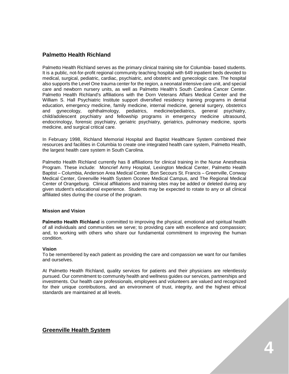## **Palmetto Health Richland**

Palmetto Health Richland serves as the primary clinical training site for Columbia- based students. It is a public, not-for-profit regional community teaching hospital with 649 inpatient beds devoted to medical, surgical, pediatric, cardiac, psychiatric, and obstetric and gynecologic care. The hospital also supports the Level One trauma center for the region, a neonatal intensive care unit, and special care and newborn nursery units, as well as Palmetto Health's South Carolina Cancer Center. Palmetto Health Richland's affiliations with the Dorn Veterans Affairs Medical Center and the William S. Hall Psychiatric Institute support diversified residency training programs in dental education, emergency medicine, family medicine, internal medicine, general surgery, obstetrics<br>and qvnecology, ophthalmology, pediatrics, medicine/pediatrics, general psychiatry, and gynecology, ophthalmology, pediatrics, medicine/pediatrics, general psychiatry, child/adolescent psychiatry and fellowship programs in emergency medicine ultrasound, endocrinology, forensic psychiatry, geriatric psychiatry, geriatrics, pulmonary medicine, sports medicine, and surgical critical care.

In February 1998, Richland Memorial Hospital and Baptist Healthcare System combined their resources and facilities in Columbia to create one integrated health care system, [Palmetto Health,](http://www.palmettohealth.org/body.cfm?id=189&oTopID=11) the largest health care system in South Carolina.

Palmetto Health Richland currently has 8 affiliations for clinical training in the Nurse Anesthesia Program. These include: Moncrief Army Hospital, Lexington Medical Center, Palmetto Health Baptist – Columbia, Anderson Area Medical Center, Bon Secours St. Francis – Greenville, Conway Medical Center, Greenville Health System Oconee Medical Campus, and The Regional Medical Center of Orangeburg. Clinical affiliations and training sites may be added or deleted during any given student's educational experience. Students may be expected to rotate to any or all clinical affiliated sites during the course of the program.

#### **Mission and Vision**

**Palmetto Health Richland** is committed to improving the physical, emotional and spiritual health of all individuals and communities we serve; to providing care with excellence and compassion; and, to working with others who share our fundamental commitment to improving the human condition.

#### **Vision**

To be remembered by each patient as providing the care and compassion we want for our families and ourselves.

At Palmetto Health Richland, quality services for patients and their physicians are relentlessly pursued. Our commitment to community health and wellness guides our services, partnerships and investments. Our health care professionals, employees and volunteers are valued and recognized for their unique contributions, and an environment of trust, integrity, and the highest ethical standards are maintained at all levels.

**Greenville Health System**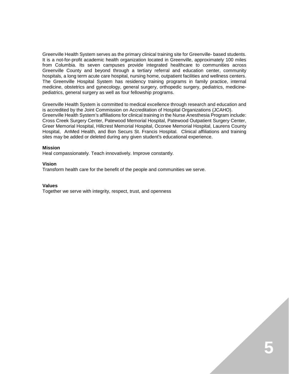Greenville Health System serves as the primary clinical training site for Greenville- based students. It is a not-for-profit academic health organization located in Greenville, approximately 100 miles from Columbia. Its seven campuses provide integrated healthcare to communities across Greenville County and beyond through a tertiary referral and education center, community hospitals, a long term acute care hospital, nursing home, outpatient facilities and wellness centers. The Greenville Hospital System has residency training programs in family practice, internal medicine, obstetrics and gynecology, general surgery, orthopedic surgery, pediatrics, medicinepediatrics, general surgery as well as four fellowship programs.

Greenville Health System is committed to medical excellence through research and education and is accredited by the Joint Commission on Accreditation of Hospital Organizations (JCAHO). Greenville Health System's affiliations for clinical training in the Nurse Anesthesia Program include: Cross Creek Surgery Center, Patewood Memorial Hospital, Patewood Outpatient Surgery Center, Greer Memorial Hospital, Hillcrest Memorial Hospital, Oconee Memorial Hospital, Laurens County Hospital, AnMed Health, and Bon Securs St. Francis Hospital. Clinical affiliations and training sites may be added or deleted during any given student's educational experience.

#### **Mission**

Heal compassionately. Teach innovatively. Improve constantly.

#### **Vision**

Transform health care for the benefit of the people and communities we serve.

#### **Values**

Together we serve with integrity, respect, trust, and openness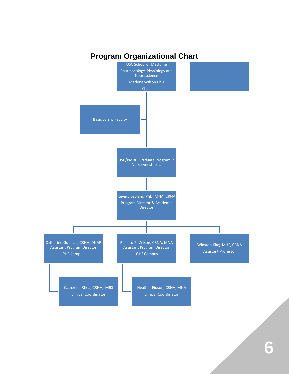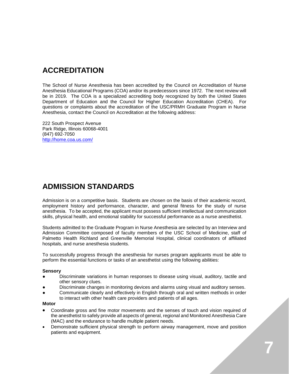# **ACCREDITATION**

The School of Nurse Anesthesia has been accredited by the Council on Accreditation of Nurse Anesthesia Educational Programs (COA) and/or its predecessors since 1972. The next review will be in 2019. The COA is a specialized accrediting body recognized by both the United States Department of Education and the Council for Higher Education Accreditation (CHEA). For questions or complaints about the accreditation of the USC/PRMH Graduate Program in Nurse Anesthesia, contact the Council on Accreditation at the following address:

222 South Prospect Avenue Park Ridge, Illinois 60068-4001 (847) 692-7050 <http://home.coa.us.com/>

# **ADMISSION STANDARDS**

Admission is on a competitive basis. Students are chosen on the basis of their academic record, employment history and performance, character, and general fitness for the study of nurse anesthesia. To be accepted, the applicant must possess sufficient intellectual and communication skills, physical health, and emotional stability for successful performance as a nurse anesthetist.

Students admitted to the Graduate Program in Nurse Anesthesia are selected by an Interview and Admission Committee composed of faculty members of the USC School of Medicine, staff of Palmetto Health Richland and Greenville Memorial Hospital, clinical coordinators of affiliated hospitals, and nurse anesthesia students.

To successfully progress through the anesthesia for nurses program applicants must be able to perform the essential functions or tasks of an anesthetist using the following abilities:

#### **Sensory**

- Discriminate variations in human responses to disease using visual, auditory, tactile and other sensory clues.
- Discriminate changes in monitoring devices and alarms using visual and auditory senses.
- Communicate clearly and effectively in English through oral and written methods in order to interact with other health care providers and patients of all ages.

#### **Motor**

- Coordinate gross and fine motor movements and the senses of touch and vision required of the anesthetist to safely provide all aspects of general, regional and Monitored Anesthesia Care (MAC) and the endurance to handle multiple patient needs.
- Demonstrate sufficient physical strength to perform airway management, move and position patients and equipment.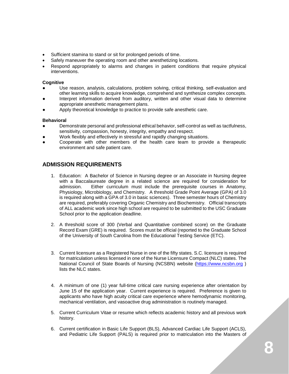- Sufficient stamina to stand or sit for prolonged periods of time.
- Safely maneuver the operating room and other anesthetizing locations.
- Respond appropriately to alarms and changes in patient conditions that require physical interventions.

#### **Cognitive**

- Use reason, analysis, calculations, problem solving, critical thinking, self-evaluation and other learning skills to acquire knowledge, comprehend and synthesize complex concepts.
- Interpret information derived from auditory, written and other visual data to determine appropriate anesthetic management plans.
- Apply theoretical knowledge to practice to provide safe anesthetic care.

#### **Behavioral**

- Demonstrate personal and professional ethical behavior, self-control as well as tactfulness, sensitivity, compassion, honesty, integrity, empathy and respect.
- Work flexibly and effectively in stressful and rapidly changing situations.
- Cooperate with other members of the health care team to provide a therapeutic environment and safe patient care.

## **ADMISSION REQUIREMENTS**

- 1. Education: A Bachelor of Science in Nursing degree or an Associate in Nursing degree with a Baccalaureate degree in a related science are required for consideration for admission. Either curriculum must include the prerequisite courses in Anatomy, Physiology, Microbiology, and Chemistry. A threshold Grade Point Average (GPA) of 3.0 is required along with a GPA of 3.0 in basic sciences). Three semester hours of Chemistry are required, preferably covering Organic Chemistry and Biochemistry. Official transcripts of ALL academic work since high school are required to be submitted to the USC Graduate School prior to the application deadline.
- 2. A threshold score of 300 (Verbal and Quantitative combined score) on the Graduate Record Exam (GRE) is required. Scores must be official (reported to the Graduate School of the University of South Carolina from the Educational Testing Service (ETC).
- 3. Current licensure as a Registered Nurse in one of the fifty states. S.C. licensure is required for matriculation unless licensed in one of the Nurse Licensure Compact (NLC) states. The National Council of State Boards of Nursing (NCSBN) website [\(https://www.ncsbn.org](https://www.ncsbn.org/) ) lists the NLC states.
- 4. A minimum of one (1) year full-time critical care nursing experience after orientation by June 15 of the application year. Current experience is required. Preference is given to applicants who have high acuity critical care experience where hemodynamic monitoring, mechanical ventilation, and vasoactive drug administration is routinely managed.
- 5. Current Curriculum Vitae or resume which reflects academic history and all previous work history.
- 6. Current certification in Basic Life Support (BLS), Advanced Cardiac Life Support (ACLS), and Pediatric Life Support (PALS) is required prior to matriculation into the Masters of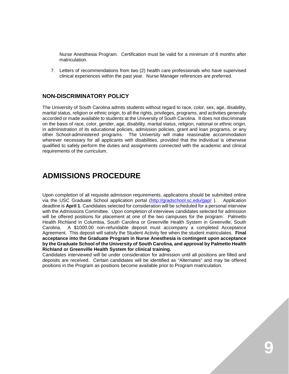Nurse Anesthesia Program. Certification must be valid for a minimum of 8 months after matriculation.

7. Letters of recommendations from two (2) health care professionals who have supervised clinical experiences within the past year. Nurse Manager references are preferred.

## **NON-DISCRIMINATORY POLICY**

The University of South Carolina admits students without regard to race, color, sex, age, disability, marital status, religion or ethnic origin, to all the rights, privileges, programs, and activities generally accorded or made available to students at the University of South Carolina. It does not discriminate on the basis of race, color, gender, age, disability, marital status, religion, national or ethnic origin, in administration of its educational policies, admission policies, grant and loan programs, or any other School-administered programs. The University will make reasonable accommodation wherever necessary for all applicants with disabilities, provided that the individual is otherwise qualified to safely perform the duties and assignments connected with the academic and clinical requirements of the curriculum.

# **ADMISSIONS PROCEDURE**

Upon completion of all requisite admission requirements, applications should be submitted online via the USC Graduate School application portal [\(http://gradschool.sc.edu/gap/](http://gradschool.sc.edu/gap/) ). Application deadline is **April 1**. Candidates selected for consideration will be scheduled for a personal interview with the Admissions Committee. Upon completion of interviews candidates selected for admission will be offered positions for placement at one of the two campuses for the program: Palmetto Health Richland in Columbia, South Carolina or Greenville Health System in Greenville, South Carolina. A \$1000.00 non-refundable deposit must accompany a completed Acceptance Agreement. This deposit will satisfy the Student Activity fee when the student matriculates. **Final acceptance into the Graduate Program in Nurse Anesthesia is contingent upon acceptance by the Graduate School of the University of South Carolina, and approval by Palmetto Health Richland or Greenville Health System for clinical training.**

Candidates interviewed will be under consideration for admission until all positions are filled and deposits are received. Certain candidates will be identified as "Alternates" and may be offered positions in the Program as positions become available prior to Program matriculation.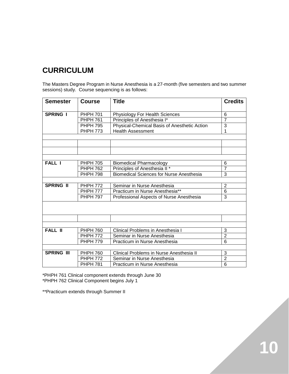# **CURRICULUM**

The Masters Degree Program in Nurse Anesthesia is a 27-month (five semesters and two summer sessions) study. Course sequencing is as follows:

| <b>Semester</b>   | <b>Course</b>   | <b>Title</b>                                    | <b>Credits</b> |
|-------------------|-----------------|-------------------------------------------------|----------------|
|                   |                 |                                                 |                |
| <b>SPRING I</b>   | <b>PHPH 701</b> | Physiology For Health Sciences                  | 6              |
|                   | <b>PHPH 761</b> | Principles of Anesthesia I*                     | $\overline{7}$ |
|                   | <b>PHPH 795</b> | Physical-Chemical Basis of Anesthetic Action    | $\overline{3}$ |
|                   | <b>PHPH 773</b> | <b>Health Assessment</b>                        |                |
|                   |                 |                                                 |                |
|                   |                 |                                                 |                |
|                   |                 |                                                 |                |
|                   |                 |                                                 |                |
| <b>FALL I</b>     | <b>PHPH 705</b> | <b>Biomedical Pharmacology</b>                  | 6              |
|                   | <b>PHPH 762</b> | Principles of Anesthesia II*                    | $\overline{7}$ |
|                   | <b>PHPH 798</b> | <b>Biomedical Sciences for Nurse Anesthesia</b> | 3              |
|                   |                 |                                                 |                |
| <b>SPRING II</b>  | <b>PHPH 772</b> | Seminar in Nurse Anesthesia                     | $\overline{2}$ |
|                   | <b>PHPH 777</b> | Practicum in Nurse Anesthesia**                 | 6              |
|                   | <b>PHPH 797</b> | Professional Aspects of Nurse Anesthesia        | 3              |
|                   |                 |                                                 |                |
|                   |                 |                                                 |                |
|                   |                 |                                                 |                |
|                   |                 |                                                 |                |
| <b>FALL II</b>    | <b>PHPH 760</b> | Clinical Problems in Anesthesia I               | 3              |
|                   | <b>PHPH 772</b> | Seminar in Nurse Anesthesia                     | $\overline{2}$ |
|                   | <b>PHPH 779</b> | Practicum in Nurse Anesthesia                   | 6              |
|                   |                 |                                                 |                |
| <b>SPRING III</b> | <b>PHPH 760</b> | Clinical Problems in Nurse Anesthesia II        | 3              |
|                   | <b>PHPH 772</b> | Seminar in Nurse Anesthesia                     | $\overline{2}$ |
|                   | <b>PHPH 781</b> | Practicum in Nurse Anesthesia                   | 6              |

\*PHPH 761 Clinical component extends through June 30 \*PHPH 762 Clinical Component begins July 1

\*\*Practicum extends through Summer II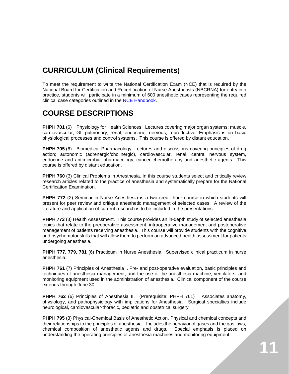# **CURRICULUM (Clinical Requirements)**

To meet the requirement to write the National Certification Exam (NCE) that is required by the National Board for Certification and Recertification of Nurse Anesthetists (NBCRNA) for entry into practice, students will participate in a minimum of 600 anesthetic cases representing the required clinical case categories outlined in the [NCE Handbook.](http://www.nbcrna.com/certification/SiteAssets/Pages/Program-Administration/NCE_Handbook.pdf)

# **COURSE DESCRIPTIONS**

**PHPH 701** (6) Physiology for Health Sciences. Lectures covering major organ systems: muscle, cardiovascular, GI, pulmonary, renal, endocrine, nervous, reproductive. Emphasis is on basic physiological processes and control systems. This course is offered by distant education.

**PHPH 705** (6) Biomedical Pharmacology. Lectures and discussions covering principles of drug action; autonomic (adrenergic/cholinergic), cardiovascular, renal, central nervous system, endocrine and antimicrobial pharmacology, cancer chemotherapy and anesthetic agents. This course is offered by distant education.

**PHPH 760** (3) Clinical Problems in Anesthesia. In this course students select and critically review research articles related to the practice of anesthesia and systematically prepare for the National Certification Examination.

**PHPH 772** (2) Seminar in Nurse Anesthesia is a two credit hour course in which students will present for peer review and critique anesthetic management of selected cases. A review of the literature and application of current research is to be included in the presentations.

**PHPH 773** (3) Health Assessment. This course provides an in-depth study of selected anesthesia topics that relate to the preoperative assessment, intraoperative management and postoperative management of patients receiving anesthesia. This course will provide students with the cognitive and psychomotor skills that will allow them to perform an advanced health assessment for patients undergoing anesthesia.

**PHPH 777, 779, 781** (6) Practicum in Nurse Anesthesia. Supervised clinical practicum in nurse anesthesia.

**PHPH 761** (7) Principles of Anesthesia I. Pre- and post-operative evaluation, basic principles and techniques of anesthesia management, and the use of the anesthesia machine, ventilators, and monitoring equipment used in the administration of anesthesia. Clinical component of the course extends through June 30.

**PHPH 762** (6) Principles of Anesthesia II. (Prerequisite: PHPH 761) Associates anatomy, physiology, and pathophysiology with implications for Anesthesia. Surgical specialties include neurological, cardiovascular-thoracic, pediatric and obstetrical surgery.

**PHPH 795** (3) Physical-Chemical Basis of Anesthetic Action. Physical and chemical concepts and their relationships to the principles of anesthesia. Includes the behavior of gases and the gas laws, chemical composition of anesthetic agents and drugs. Special emphasis is placed on understanding the operating principles of anesthesia machines and monitoring equipment.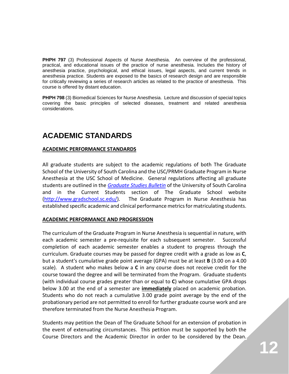**PHPH 797** (3) Professional Aspects of Nurse Anesthesia. An overview of the professional, practical, and educational issues of the practice of nurse anesthesia. Includes the history of anesthesia practice, psychological, and ethical issues, legal aspects, and current trends in anesthesia practice. Students are exposed to the basics of research design and are responsible for critically reviewing a series of research articles as related to the practice of anesthesia. This course is offered by distant education.

**PHPH 798** (3) Biomedical Sciences for Nurse Anesthesia. Lecture and discussion of special topics covering the basic principles of selected diseases, treatment and related anesthesia considerations.

# **ACADEMIC STANDARDS**

## **ACADEMIC PERFORMANCE STANDARDS**

All graduate students are subject to the academic regulations of both The Graduate School of the University of South Carolina and the USC/PRMH Graduate Program in Nurse Anesthesia at the USC School of Medicine. General regulations affecting all graduate students are outlined in the *[Graduate Studies Bulletin](http://bulletin.sc.edu/index.php?catoid=35)* of the University of South Carolina and in the Current Students section of The Graduate School website [\(http://www.gradschool.sc.edu/\)](http://www.gradschool.sc.edu/). The Graduate Program in Nurse Anesthesia has established specific academic and clinical performance metrics for matriculating students.

## **ACADEMIC PERFORMANCE AND PROGRESSION**

The curriculum of the Graduate Program in Nurse Anesthesia is sequential in nature, with each academic semester a pre-requisite for each subsequent semester. Successful completion of each academic semester enables a student to progress through the curriculum. Graduate courses may be passed for degree credit with a grade as low as **C**, but a student's cumulative grade point average (GPA) must be at least **B** (3.00 on a 4.00 scale). A student who makes below a **C** in any course does not receive credit for the course toward the degree and will be terminated from the Program. Graduate students (with individual course grades greater than or equal to **C**) whose cumulative GPA drops below 3.00 at the end of a semester are **immediately** placed on academic probation. Students who do not reach a cumulative 3.00 grade point average by the end of the probationary period are not permitted to enroll for further graduate course work and are therefore terminated from the Nurse Anesthesia Program.

Students may petition the Dean of The Graduate School for an extension of probation in the event of extenuating circumstances. This petition must be supported by both the Course Directors and the Academic Director in order to be considered by the Dean.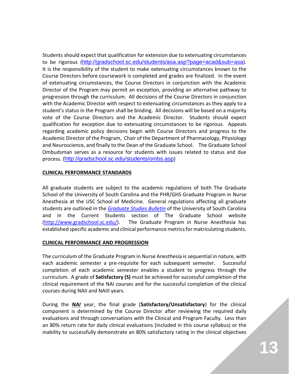Students should expect that qualification for extension due to extenuating circumstances to be rigorous (<http://gradschool.sc.edu/students/asa.asp?page=acad&sub=asa>). It is the responsibility of the student to make extenuating circumstances known to the Course Directors before coursework is completed and grades are finalized. In the event of extenuating circumstances, the Course Directors in conjunction with the Academic Director of the Program may permit an exception, providing an alternative pathway to progression through the curriculum. All decisions of the Course Directors in conjunction with the Academic Director with respect to extenuating circumstances as they apply to a student's status in the Program shall be binding. All decisions will be based on a majority vote of the Course Directors and the Academic Director. Students should expect qualification for exception due to extenuating circumstances to be rigorous. Appeals regarding academic policy decisions begin with Course Directors and progress to the Academic Director of the Program, Chair of the Department of Pharmacology, Physiology and Neuroscience, and finally to the Dean of the Graduate School. The Graduate School Ombudsman serves as a resource for students with issues related to status and due process. (<http://gradschool.sc.edu/students/ombs.asp>)

## **CLINICAL PERFORMANCE STANDARDS**

All graduate students are subject to the academic regulations of both The Graduate School of the University of South Carolina and the PHR/GHS Graduate Program in Nurse Anesthesia at the USC School of Medicine. General regulations affecting all graduate students are outlined in the *[Graduate Studies Bulletin](http://bulletin.sc.edu/index.php?catoid=35)* of the University of South Carolina and in the Current Students section of The Graduate School website [\(http://www.gradschool.sc.edu/\)](http://www.gradschool.sc.edu/). The Graduate Program in Nurse Anesthesia has established specific academic and clinical performance metrics for matriculating students.

## **CLINICAL PERFORMANCE AND PROGRESSION**

The curriculum of the Graduate Program in Nurse Anesthesia is sequential in nature, with each academic semester a pre-requisite for each subsequent semester. Successful completion of each academic semester enables a student to progress through the curriculum. A grade of **Satisfactory (S)** must be achieved for successful completion of the clinical requirement of the NAI courses and for the successful completion of the clinical courses during NAII and NAIII years.

During the *NAI* year, the final grade (**Satisfactory/Unsatisfactory**) for the clinical component is determined by the Course Director after reviewing the required daily evaluations and through conversations with the Clinical and Program Faculty. Less than an 80% return rate for daily clinical evaluations (included in this course syllabus) or the inability to successfully demonstrate an 80% satisfactory rating in the clinical objectives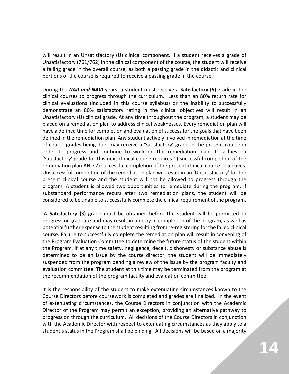will result in an Unsatisfactory (U) clinical component. If a student receives a grade of Unsatisfactory (761/762) in the clinical component of the course, the student will receive a failing grade in the overall course, as both a passing grade in the didactic and clinical portions of the course is required to receive a passing grade in the course.

During the *NAII and NAIII* years, a student must receive a **Satisfactory (S)** grade in the clinical courses to progress through the curriculum. Less than an 80% return rate for clinical evaluations (included in this course syllabus) or the inability to successfully demonstrate an 80% satisfactory rating in the clinical objectives will result in an Unsatisfactory (U) clinical grade. At any time throughout the program, a student may be placed on a remediation plan to address clinical weaknesses. Every remediation plan will have a defined time for completion and evaluation of success for the goals that have been defined in the remediation plan. Any student actively involved in remediation at the time of course grades being due, may receive a 'Satisfactory' grade in the present course in order to progress and continue to work on the remediation plan. To achieve a 'Satisfactory' grade for this next clinical course requires 1) successful completion of the remediation plan AND 2) successful completion of the present clinical course objectives. Unsuccessful completion of the remediation plan will result in an 'Unsatisfactory' for the present clinical course and the student will not be allowed to progress through the program. A student is allowed two opportunities to remediate during the program. If substandard performance recurs after two remediation plans, the student will be considered to be unable to successfully complete the clinical requirement of the program.

A **Satisfactory (S)** grade must be obtained before the student will be permitted to progress or graduate and may result in a delay in completion of the program, as well as potential further expense to the student resulting from re-registering for the failed clinical course. Failure to successfully complete the remediation plan will result in convening of the Program Evaluation Committee to determine the future status of the student within the Program. If at any time safety, negligence, deceit, dishonesty or substance abuse is determined to be an issue by the course director, the student will be immediately suspended from the program pending a review of the issue by the program faculty and evaluation committee. The student at this time may be terminated from the program at the recommendation of the program faculty and evaluation committee.

It is the responsibility of the student to make extenuating circumstances known to the Course Directors before coursework is completed and grades are finalized. In the event of extenuating circumstances, the Course Directors in conjunction with the Academic Director of the Program may permit an exception, providing an alternative pathway to progression through the curriculum. All decisions of the Course Directors in conjunction with the Academic Director with respect to extenuating circumstances as they apply to a student's status in the Program shall be binding. All decisions will be based on a majority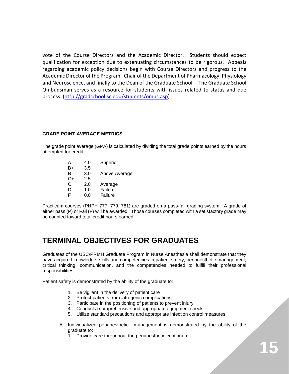vote of the Course Directors and the Academic Director. Students should expect qualification for exception due to extenuating circumstances to be rigorous. Appeals regarding academic policy decisions begin with Course Directors and progress to the Academic Director of the Program, Chair of the Department of Pharmacology, Physiology and Neuroscience, and finally to the Dean of the Graduate School. The Graduate School Ombudsman serves as a resource for students with issues related to status and due process. [\(http://gradschool.sc.edu/students/ombs.asp\)](http://gradschool.sc.edu/students/ombs.asp)

#### **GRADE POINT AVERAGE METRICS**

The grade point average (GPA) is calculated by dividing the total grade points earned by the hours attempted for credit.

| Above Average |
|---------------|
|               |
|               |
|               |
|               |
|               |

Practicum courses (PHPH 777, 779, 781) are graded on a pass-fail grading system. A grade of either pass (P) or Fail (F) will be awarded. Those courses completed with a satisfactory grade may be counted toward total credit hours earned.

# **TERMINAL OBJECTIVES FOR GRADUATES**

Graduates of the USC/PRMH Graduate Program in Nurse Anesthesia shall demonstrate that they have acquired knowledge, skills and competencies in patient safety, perianesthetic management, critical thinking, communication, and the competencies needed to fulfill their professional responsibilities.

Patient safety is demonstrated by the ability of the graduate to:

- 1. Be vigilant in the delivery of patient care
- 2. Protect patients from iatrogenic complications
- 3. Participate in the positioning of patients to prevent injury.
- 4. Conduct a comprehensive and appropriate equipment check.
- 5. Utilize standard precautions and appropriate infection control measures.
- A. Individualized perianesthetic management is demonstrated by the ability of the graduate to:
	- 1. Provide care throughout the perianesthetic continuum.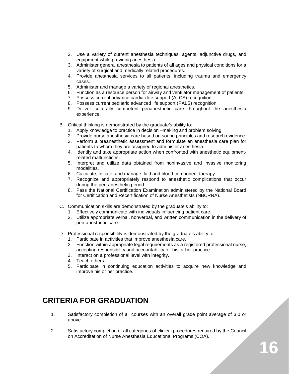- 2. Use a variety of current anesthesia techniques, agents, adjunctive drugs, and equipment while providing anesthesia.
- 3. Administer general anesthesia to patients of all ages and physical conditions for a variety of surgical and medically related procedures.
- 4. Provide anesthesia services to all patients, including trauma and emergency cases.
- 5. Administer and manage a variety of regional anesthetics.
- 6. Function as a resource person for airway and ventilator management of patients.
- 7. Possess current advance cardiac life support (ALCS) recognition.
- 8. Possess current pediatric advanced life support (PALS) recognition.
- 9. Deliver culturally competent perianesthetic care throughout the anesthesia experience.
- B. Critical thinking is demonstrated by the graduate's ability to:
	- 1. Apply knowledge to practice in decision –making and problem solving.
	- 2. Provide nurse anesthesia care based on sound principles and research evidence.
	- 3. Perform a preanesthetic assessment and formulate an anesthesia care plan for patients to whom they are assigned to administer anesthesia.
	- 4. Identify and take appropriate action when confronted with anesthetic equipmentrelated malfunctions.
	- 5. Interpret and utilize data obtained from noninvasive and invasive monitoring modalities.
	- 6. Calculate, initiate, and manage fluid and blood component therapy.
	- 7. Recognize and appropriately respond to anesthetic complications that occur during the peri-anesthetic period.
	- 8. Pass the National Certification Examination administered by the National Board for Certification and Recertification of Nurse Anesthetists (NBCRNA).
- C. Communication skills are demonstrated by the graduate's ability to:
	- 1. Effectively communicate with individuals influencing patient care.
	- 2. Utilize appropriate verbal, nonverbal, and written communication in the delivery of peri-anesthetic care.
- D. Professional responsibility is demonstrated by the graduate's ability to:
	- 1. Participate in activities that improve anesthesia care.
	- 2. Function within appropriate legal requirements as a registered professional nurse, accepting responsibility and accountability for his or her practice.
	- 3. Interact on a professional level with integrity.
	- 4. Teach others.
	- 5. Participate in continuing education activities to acquire new knowledge and improve his or her practice.

# **CRITERIA FOR GRADUATION**

- 1. Satisfactory completion of all courses with an overall grade point average of 3.0 or above.
- 2. Satisfactory completion of all categories of clinical procedures required by the Council on Accreditation of Nurse Anesthesia Educational Programs (COA).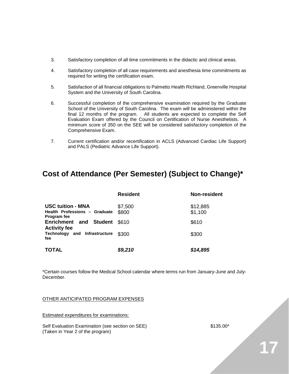- 3. Satisfactory completion of all time commitments in the didactic and clinical areas.
- 4. Satisfactory completion of all case requirements and anesthesia time commitments as required for writing the certification exam.
- 5. Satisfaction of all financial obligations to Palmetto Health Richland, Greenville Hospital System and the University of South Carolina.
- 6. Successful completion of the comprehensive examination required by the Graduate School of the University of South Carolina. The exam will be administered within the final 12 months of the program. All students are expected to complete the Self Evaluation Exam offered by the Council on Certification of Nurse Anesthetists. A minimum score of 350 on the SEE will be considered satisfactory completion of the Comprehensive Exam.
- 7. Current certification and/or recertification in ACLS (Advanced Cardiac Life Support) and PALS (Pediatric Advance Life Support).

# **Cost of Attendance (Per Semester) (Subject to Change)\***

|                                                                                 | <b>Resident</b>  | Non-resident        |
|---------------------------------------------------------------------------------|------------------|---------------------|
| <b>USC tuition - MNA</b><br>Health Professions - Graduate<br><b>Program fee</b> | \$7,500<br>\$800 | \$12,885<br>\$1,100 |
| <b>Enrichment and Student</b><br><b>Activity fee</b>                            | \$610            | \$610               |
| Technology and Infrastructure<br>fee                                            | \$300            | \$300               |
| <b>TOTAL</b>                                                                    | \$9,210          | \$14,895            |

\*Certain courses follow the Medical School calendar where terms run from January-June and July-**December** 

#### OTHER ANTICIPATED PROGRAM EXPENSES

Estimated expenditures for examinations:

Self Evaluation Examination (see section on SEE)  $$135.00*$ (Taken in Year 2 of the program)

**17**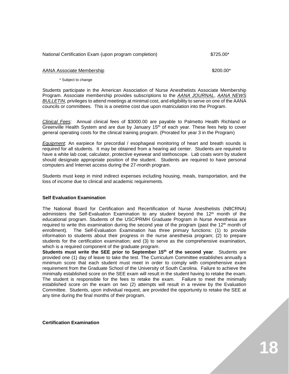| $$725.00*$<br>National Certification Exam (upon program completion) |
|---------------------------------------------------------------------|
|---------------------------------------------------------------------|

#### AANA Associate Membership  $$200.00*$

#### \* Subject to change

Students participate in the American Association of Nurse Anesthetists Associate Membership Program. Associate membership provides subscriptions to the *AANA JOURNAL*, *AANA NEWS BULLETIN*, privileges to attend meetings at minimal cost, and eligibility to serve on one of the AANA councils or committees. This is a onetime cost due upon matriculation into the Program.

*Clinical Fees*: Annual clinical fees of \$3000.00 are payable to Palmetto Health Richland or Greenville Health System and are due by January  $15<sup>th</sup>$  of each year. These fees help to cover general operating costs for the clinical training program. (Prorated for year 3 in the Program)

*Equipment*: An earpiece for precordial / esophageal monitoring of heart and breath sounds is required for all students. It may be obtained from a hearing aid center. Students are required to have a white lab coat, calculator, protective eyewear and stethoscope. Lab coats worn by student should designate appropriate position of the student. Students are required to have personal computers and Internet access during the 27-month program.

Students must keep in mind indirect expenses including housing, meals, transportation, and the loss of income due to clinical and academic requirements.

#### **Self Evaluation Examination**

The National Board for Certification and Recertification of Nurse Anesthetists (NBCRNA) administers the Self-Evaluation Examination to any student beyond the  $12<sup>th</sup>$  month of the educational program. Students of the USC/PRMH Graduate Program in Nurse Anesthesia are required to write this examination during the second year of the program (past the  $12<sup>th</sup>$  month of enrollment). The Self-Evaluation Examination has three primary functions: (1) to provide information to students about their progress in the nurse anesthesia program; (2) to prepare students for the certification examination; and (3) to serve as the comprehensive examination, which is a required component of the graduate program.

**Students must write the SEE prior to September 15<sup>th</sup> of the second year. Students are** provided one (1) day of leave to take the test. The Curriculum Committee establishes annually a minimum score that each student must meet in order to comply with comprehensive exam requirement from the Graduate School of the University of South Carolina. Failure to achieve the minimally established score on the SEE exam will result in the student having to retake the exam. The student is responsible for the fees to retake the exam. Failure to meet the minimally established score on the exam on two (2) attempts will result in a review by the Evaluation Committee. Students, upon individual request, are provided the opportunity to retake the SEE at any time during the final months of their program.

**Certification Examination**

**18**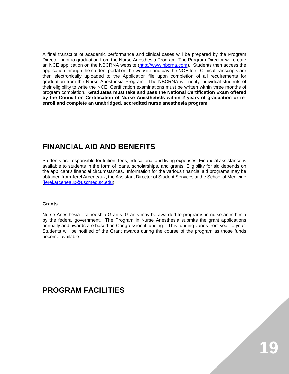A final transcript of academic performance and clinical cases will be prepared by the Program Director prior to graduation from the Nurse Anesthesia Program. The Program Director will create an NCE application on the NBCRNA website [\(http://www.nbcrna.com\)](http://www.nbcrna.com/). Students then access the application through the student portal on the website and pay the NCE fee. Clinical transcripts are then electronically uploaded to the Application file upon completion of all requirements for graduation from the Nurse Anesthesia Program. The NBCRNA will notify individual students of their eligibility to write the NCE. Certification examinations must be written within three months of program completion. **Graduates must take and pass the National Certification Exam offered by the Council on Certification of Nurse Anesthetists within 2 years of graduation or reenroll and complete an unabridged, accredited nurse anesthesia program.**

# **FINANCIAL AID AND BENEFITS**

Students are responsible for tuition, fees, educational and living expenses. Financial assistance is available to students in the form of loans, scholarships, and grants. Eligibility for aid depends on the applicant's financial circumstances. Information for the various financial aid programs may be obtained from Jerel Arceneaux, the Assistant Director of Student Services at the School of Medicine [\(jerel.arceneaux@uscmed.sc.edu\)](mailto:jerel.arceneaux@uscmed.sc.edu).

#### **Grants**

Nurse Anesthesia Traineeship Grants. Grants may be awarded to programs in nurse anesthesia by the federal government. The Program in Nurse Anesthesia submits the grant applications annually and awards are based on Congressional funding. This funding varies from year to year. Students will be notified of the Grant awards during the course of the program as those funds become available.

# **PROGRAM FACILITIES**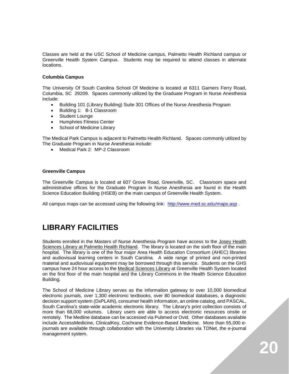Classes are held at the USC School of Medicine campus, Palmetto Health Richland campus or Greenville Health System Campus. Students may be required to attend classes in alternate locations.

#### **Columbia Campus**

The University Of South Carolina School Of Medicine is located at 6311 Garners Ferry Road, Columbia, SC 29209. Spaces commonly utilized by the Graduate Program in Nurse Anesthesia include:

- Building 101 (Library Building) Suite 301 Offices of the Nurse Anesthesia Program
- Building 1: B-1 Classroom
- Student Lounge
- Humphries Fitness Center
- School of Medicine Library

The Medical Park Campus is adjacent to Palmetto Health Richland. Spaces commonly utilized by The Graduate Program in Nurse Anesthesia include:

• Medical Park 2: MP-2 Classroom

#### **Greenville Campus**

The Greenville Campus is located at 607 Grove Road, Greenville, SC. Classroom space and administrative offices for the Graduate Program in Nurse Anesthesia are found in the Health Science Education Building (HSEB) on the main campus of Greenville Health System.

All campus maps can be accessed using the following link: <http://www.med.sc.edu/maps.asp>.

# **LIBRARY FACILITIES**

Students enrolled in the Masters of Nurse Anesthesia Program have access to the Josey Health Sciences Library at Palmetto Health Richland. The library is located on the sixth floor of the main hospital. The library is one of the four major Area Health Education Consortium (AHEC) libraries and audiovisual learning centers in South Carolina. A wide range of printed and non-printed material and audiovisual equipment may be borrowed through this service. Students on the GHS campus have 24 hour access to the Medical Sciences Library at Greenville Health System located on the first floor of the main hospital and the Library Commons in the Health Science Education Building.

The School of Medicine Library serves as the information gateway to over 10,000 biomedical electronic journals, over 1,300 electronic textbooks, over 80 biomedical databases, a diagnostic decision support system (DxPLAIN), consumer health information, an online catalog, and PASCAL, South Carolina's state-wide academic electronic library. The Library's print collection consists of more than 68,000 volumes. Library users are able to access electronic resources onsite or remotely. The Medline database can be accessed via Pubmed or Ovid. Other databases available include AccessMedicine, ClinicalKey, Cochrane Evidence-Based Medicine. More than 55,000 ejournals are available through collaboration with the University Libraries via TDNet, the e-journal management system.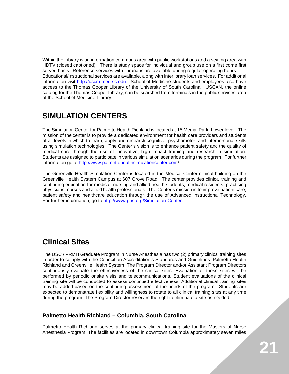Within the Library is an information commons area with public workstations and a seating area with HDTV (closed captioned). There is study space for individual and group use on a first come first served basis. Reference services with librarians are available during regular operating hours. Educational/Instructional services are available, along with interlibrary loan services. For additional information visit [http://uscm.med.sc.edu.](http://uscm.med.sc.edu/) School of Medicine students and employees also have access to the Thomas Cooper Library of the University of South Carolina. USCAN, the online catalog for the Thomas Cooper Library, can be searched from terminals in the public services area of the School of Medicine Library.

# **SIMULATION CENTERS**

The Simulation Center for Palmetto Health Richland is located at 15 Medial Park, Lower level. The mission of the center is to provide a dedicated environment for health care providers and students of all levels in which to learn, apply and research cognitive, psychomotor, and interpersonal skills using simulation technologies. The Center's vision is to enhance patient safety and the quality of medical care through the use of innovative, high impact training and research in simulation. Students are assigned to participate in various simulation scenarios during the program. For further information go to<http://www.palmettohealthsimulationcenter.com/>

The Greenville Health Simulation Center is located in the Medical Center clinical building on the Greenville Health System Campus at 607 Grove Road. The center provides clinical training and continuing education for medical, nursing and allied health students, medical residents, practicing physicians, nurses and allied health professionals. The Center's mission is to improve patient care, patient safety and healthcare education through the use of Advanced Instructional Technology. For further information, go to [http://www.ghs.org/Simulation-Center.](http://www.ghs.org/Simulation-Center)

# **Clinical Sites**

The USC / PRMH Graduate Program in Nurse Anesthesia has two (2) primary clinical training sites in order to comply with the Council on Accreditation's Standards and Guidelines: Palmetto Health Richland and Greenville Health System. The Program Director and/or Assistant Program Directors continuously evaluate the effectiveness of the clinical sites. Evaluation of these sites will be performed by periodic onsite visits and telecommunications. Student evaluations of the clinical training site will be conducted to assess continued effectiveness. Additional clinical training sites may be added based on the continuing assessment of the needs of the program. Students are expected to demonstrate flexibility and willingness to rotate to all clinical training sites at any time during the program. The Program Director reserves the right to eliminate a site as needed.

## **Palmetto Health Richland – Columbia, South Carolina**

Palmetto Health Richland serves at the primary clinical training site for the Masters of Nurse Anesthesia Program. The facilities are located in downtown Columbia approximately seven miles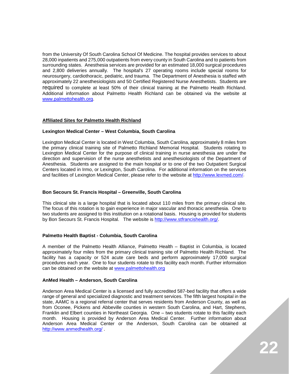from the University Of South Carolina School Of Medicine. The hospital provides services to about 28,000 inpatients and 275,000 outpatients from every county in South Carolina and to patients from surrounding states. Anesthesia services are provided for an estimated 18,000 surgical procedures and 2,800 deliveries annually. The hospital's 27 operating rooms include special rooms for neurosurgery, cardiothoracic, pediatric, and trauma. The Department of Anesthesia is staffed with approximately 22 anesthesiologists and 50 Certified Registered Nurse Anesthetists. Students are required to complete at least 50% of their clinical training at the Palmetto Health Richland. Additional information about Palmetto Health Richland can be obtained via the website at [www.palmettohealth.org.](http://www.palmettohealth.org/)

#### **Affiliated Sites for Palmetto Health Richland**

#### **Lexington Medical Center – West Columbia, South Carolina**

Lexington Medical Center is located in West Columbia, South Carolina, approximately 8 miles from the primary clinical training site of Palmetto Richland Memorial Hospital. Students rotating to Lexington Medical Center for the purpose of clinical training in nurse anesthesia are under the direction and supervision of the nurse anesthetists and anesthesiologists of the Department of Anesthesia. Students are assigned to the main hospital or to one of the two Outpatient Surgical Centers located in Irmo, or Lexington, South Carolina. For additional information on the services and facilities of Lexington Medical Center, please refer to the website at [http://www.lexmed.com/.](http://www.lexmed.com/)

#### **Bon Secours St. Francis Hospital – Greenville, South Carolina**

This clinical site is a large hospital that is located about 110 miles from the primary clinical site. The focus of this rotation is to gain experience in major vascular and thoracic anesthesia. One to two students are assigned to this institution on a rotational basis. Housing is provided for students by Bon Secours St. Francis Hospital. The website is [http://www.stfrancishealth.org/.](http://www.stfrancishealth.org/)

#### **Palmetto Health Baptist - Columbia, South Carolina**

A member of the Palmetto Health Alliance, Palmetto Health – Baptist in Columbia, is located approximately four miles from the primary clinical training site of Palmetto Health Richland. The facility has a capacity or 524 acute care beds and perform approximately 17,000 surgical procedures each year. One to four students rotate to this facility each month. Further information can be obtained on the website at [www.palmettohealth.org](http://www.palmettohealth.org/)

#### **AnMed Health – Anderson, South Carolina**

Anderson Area Medical Center is a licensed and fully accredited 587-bed facility that offers a wide range of general and specialized diagnostic and treatment services. The fifth largest hospital in the state, AAMC is a regional referral center that serves residents from Anderson County, as well as from Oconee, Pickens and Abbeville counties in western South Carolina, and Hart, Stephens, Franklin and Elbert counties in Northeast Georgia. One – two students rotate to this facility each month. Housing is provided by Anderson Area Medical Center. Further information about Anderson Area Medical Center or the Anderson, South Carolina can be obtained at <http://www.anmedhealth.org/> .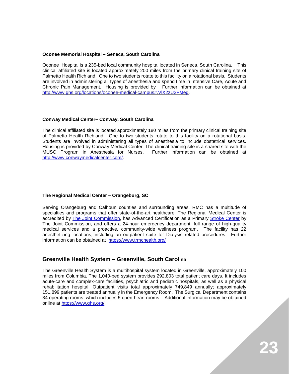#### **Oconee Memorial Hospital – Seneca, South Carolina**

Oconee Hospital is a 235-bed local community hospital located in Seneca, South Carolina. This clinical affiliated site is located approximately 200 miles from the primary clinical training site of Palmetto Health Richland. One to two students rotate to this facility on a rotational basis. Students are involved in administering all types of anesthesia and spend time in Intensive Care, Acute and Chronic Pain Management. Housing is provided by Further information can be obtained at [http://www.ghs.org/locations/oconee-medical-campus#.VlX2zU2FMeg.](http://www.ghs.org/locations/oconee-medical-campus#.VlX2zU2FMeg)

#### **Conway Medical Center– Conway, South Carolina**

The clinical affiliated site is located approximately 180 miles from the primary clinical training site of Palmetto Health Richland. One to two students rotate to this facility on a rotational basis. Students are involved in administering all types of anesthesia to include obstetrical services. Housing is provided by Conway Medical Center. The clinical training site is a shared site with the<br>MUSC Program in Anesthesia for Nurses. Further information can be obtained at MUSC Program in Anesthesia for Nurses. [http://www.conwaymedicalcenter.com/.](http://www.conwaymedicalcenter.com/)

#### **The Regional Medical Center – Orangeburg, SC**

Serving Orangeburg and Calhoun counties and surrounding areas, RMC has a multitude of specialties and programs that offer state-of-the-art healthcare. The Regional Medical Center is accredited by [The Joint Commission,](http://www.jointcommission.org/) has Advanced Certification as a Primary [Stroke Center](https://www.trmchealth.org/rmc.nsf/View/StrokeCenter) by The Joint Commission, and offers a 24-hour emergency department, full range of high-quality medical services and a proactive, community-wide wellness program. The facility has 22 anesthetizing locations, including an outpatient suite for Dialysis related procedures. Further information can be obtained at <https://www.trmchealth.org/>

## **Greenville Health System – Greenville, South Carolina**

The Greenville Health System is a multihospital system located in Greenville, approximately 100 miles from Columbia. The 1,040-bed system provides 292,803 total patient care days. It includes acute-care and complex-care facilities, psychiatric and pediatric hospitals, as well as a physical rehabilitation hospital. Outpatient visits total approximately 749,849 annually; approximately 151,899 patients are treated annually in the Emergency Room. The Surgical Department contains 34 operating rooms, which includes 5 open-heart rooms. Additional information may be obtained online at [https://www.ghs.org/.](https://www.ghs.org/)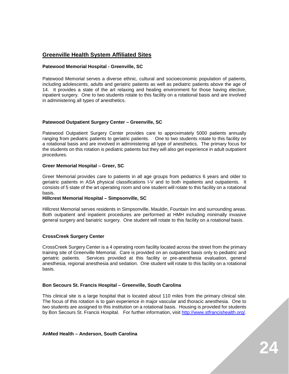## **Greenville Health System Affiliated Sites**

#### **Patewood Memorial Hospital - Greenville, SC**

Patewood Memorial serves a diverse ethnic, cultural and socioeconomic population of patients, including adolescents, adults and geriatric patients as well as pediatric patients above the age of 14. It provides a state of the art relaxing and healing environment for those having elective, inpatient surgery. One to two students rotate to this facility on a rotational basis and are involved in administering all types of anesthetics.

#### **Patewood Outpatient Surgery Center – Greenville, SC**

Patewood Outpatient Surgery Center provides care to approximately 5000 patients annually ranging from pediatric patients to geriatric patients. One to two students rotate to this facility on a rotational basis and are involved in administering all type of anesthetics. The primary focus for the students on this rotation is pediatric patients but they will also get experience in adult outpatient procedures.

#### **Greer Memorial Hospital – Greer, SC**

Greer Memorial provides care to patients in all age groups from pediatrics 6 years and older to geriatric patients in ASA physical classifications I-V and to both inpatients and outpatients. It consists of 5 state of the art operating room and one student will rotate to this facility on a rotational basis.

#### **Hillcrest Memorial Hospital – Simpsonville, SC**

Hillcrest Memorial serves residents in Simpsonville, Mauldin, Fountain Inn and surrounding areas. Both outpatient and inpatient procedures are performed at HMH including minimally invasive general surgery and bariatric surgery. One student will rotate to this facility on a rotational basis.

#### **CrossCreek Surgery Center**

CrossCreek Surgery Center is a 4 operating room facility located across the street from the primary training site of Greenville Memorial. Care is provided on an outpatient basis only to pediatric and geriatric patients. Services provided at this facility or pre-anesthesia evaluation, general anesthesia, regional anesthesia and sedation. One student will rotate to this facility on a rotational basis.

#### **Bon Secours St. Francis Hospital – Greenville, South Carolina**

This clinical site is a large hospital that is located about 110 miles from the primary clinical site. The focus of this rotation is to gain experience in major vascular and thoracic anesthesia. One to two students are assigned to this institution on a rotational basis. Housing is provided for students by Bon Secours St. Francis Hospital. For further information, visit [http://www.stfrancishealth.org/.](http://www.stfrancishealth.org/)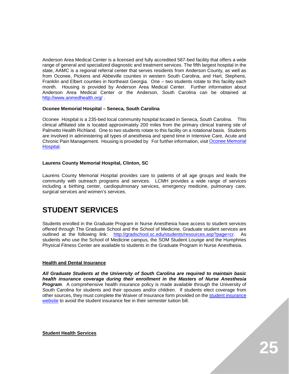Anderson Area Medical Center is a licensed and fully accredited 587-bed facility that offers a wide range of general and specialized diagnostic and treatment services. The fifth largest hospital in the state, AAMC is a regional referral center that serves residents from Anderson County, as well as from Oconee, Pickens and Abbeville counties in western South Carolina, and Hart, Stephens, Franklin and Elbert counties in Northeast Georgia. One – two students rotate to this facility each month. Housing is provided by Anderson Area Medical Center. Further information about Anderson Area Medical Center or the Anderson, South Carolina can be obtained at <http://www.anmedhealth.org/> .

#### **Oconee Memorial Hospital – Seneca, South Carolina**

Oconee Hospital is a 235-bed local community hospital located in Seneca, South Carolina. This clinical affiliated site is located approximately 200 miles from the primary clinical training site of Palmetto Health Richland. One to two students rotate to this facility on a rotational basis. Students are involved in administering all types of anesthesia and spend time in Intensive Care, Acute and Chronic Pain Management. Housing is provided by For further information, visit [Oconee Memorial](http://www.ghs.org/locations/oconee-medical-campus#.VlX2zU2FMeg)  [Hospital.](http://www.ghs.org/locations/oconee-medical-campus#.VlX2zU2FMeg)

#### **Laurens County Memorial Hospital, Clinton, SC**

Laurens County Memorial Hospital provides care to patients of all age groups and leads the community with outreach programs and services. LCMH provides a wide range of services including a birthing center, cardiopulmonary services, emergency medicine, pulmonary care, surgical services and women's services.

# **STUDENT SERVICES**

Students enrolled in the Graduate Program in Nurse Anesthesia have access to student services offered through The Graduate School and the School of Medicine. Graduate student services are outlined at the following link: [http://gradschool.sc.edu/students/resources.asp?page=cr.](http://gradschool.sc.edu/students/resources.asp?page=cr) As students who use the School of Medicine campus, the SOM Student Lounge and the Humphries Physical Fitness Center are available to students in the Graduate Program in Nurse Anesthesia.

#### **Health and Dental Insurance**

*All Graduate Students at the University of South Carolina are required to maintain basic health insurance coverage during their enrollment in the Masters of Nurse Anesthesia Program*. A comprehensive health insurance policy is made available through the University of South Carolina for students and their spouses and/or children. If students elect coverage from other sources, they must complete the Waiver of Insurance form provided on the [student insurance](http://www.sa.sc.edu/shs/tshc/insurance.shtml)  [website](http://www.sa.sc.edu/shs/tshc/insurance.shtml) to avoid the student insurance fee in their semester tuition bill.

**Student Health Services**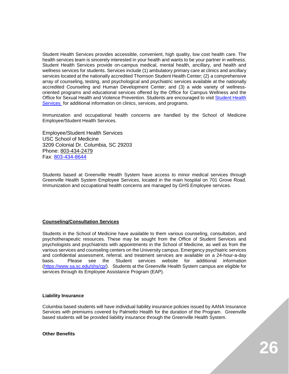Student Health Services provides accessible, convenient, high quality, low cost health care. The health services team is sincerely interested in your health and wants to be your partner in wellness. Student Health Services provide on-campus medical, mental health, ancillary, and health and wellness services for students. Services include (1) ambulatory primary care at clinics and ancillary services located at the nationally accredited Thomson Student Health Center; (2) a comprehensive array of counseling, testing, and psychological and psychiatric services available at the nationally accredited Counseling and Human Development Center; and (3) a wide variety of wellnessoriented programs and educational services offered by the Office for Campus Wellness and the Office for Sexual Health and Violence Prevention. Students are encouraged to visit [Student Health](http://www.sa.sc.edu/shs/)  [Services](http://www.sa.sc.edu/shs/) for additional information on clinics, services, and programs.

Immunization and occupational health concerns are handled by the School of Medicine Employee/Student Health Services.

Employee/Student Health Services USC School of Medicine 3209 Colonial Dr. Columbia, SC 29203 Phone: [803-434-2479](tel:803-434-2479) Fax: [803-434-8644](tel:803-434-8644)

Students based at Greenville Health System have access to minor medical services through Greenville Health System Employee Services, located in the main hospital on 701 Grove Road. Immunization and occupational health concerns are managed by GHS Employee services.

#### **Counseling/Consultation Services**

Students in the School of Medicine have available to them various counseling, consultation, and psychotherapeutic resources. These may be sought from the Office of Student Services and psychologists and psychiatrists with appointments in the School of Medicine, as well as from the various services and counseling centers on the University campus. Emergency psychiatric services and confidential assessment, referral, and treatment services are available on a 24-hour-a-day basis. Please see the Student services website for additional information [\(https://www.sa.sc.edu/shs/cp/\)](https://www.sa.sc.edu/shs/cp/). Students at the Greenville Health System campus are eligible for services through its Employee Assistance Program (EAP).

#### **Liability Insurance**

Columbia based students will have individual liability insurance policies issued by AANA Insurance Services with premiums covered by Palmetto Health for the duration of the Program. Greenville based students will be provided liability insurance through the Greenville Health System.

**Other Benefits**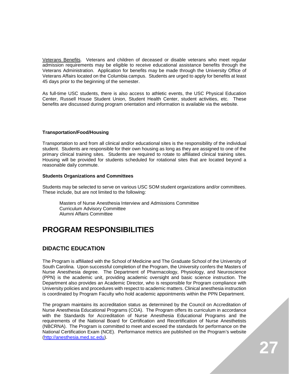Veterans Benefits. Veterans and children of deceased or disable veterans who meet regular admission requirements may be eligible to receive educational assistance benefits through the Veterans Administration. Application for benefits may be made through the University Office of Veterans Affairs located on the Columbia campus. Students are urged to apply for benefits at least 45 days prior to the beginning of the semester.

As full-time USC students, there is also access to athletic events, the USC Physical Education Center, Russell House Student Union, Student Health Center, student activities, etc. These benefits are discussed during program orientation and information is available via the website.

#### **Transportation/Food/Housing**

Transportation to and from all clinical and/or educational sites is the responsibility of the individual student. Students are responsible for their own housing as long as they are assigned to one of the primary clinical training sites. Students are required to rotate to affiliated clinical training sites. Housing will be provided for students scheduled for rotational sites that are located beyond a reasonable daily commute.

#### **Students Organizations and Committees**

Students may be selected to serve on various USC SOM student organizations and/or committees. These include, but are not limited to the following:

Masters of Nurse Anesthesia Interview and Admissions Committee Curriculum Advisory Committee Alumni Affairs Committee

# **PROGRAM RESPONSIBILITIES**

## **DIDACTIC EDUCATION**

The Program is affiliated with the School of Medicine and The Graduate School of the University of South Carolina. Upon successful completion of the Program, the University confers the Masters of Nurse Anesthesia degree. The Department of Pharmacology, Physiology, and Neuroscience (PPN) is the academic unit, providing academic oversight and basic science instruction. The Department also provides an Academic Director, who is responsible for Program compliance with University policies and procedures with respect to academic matters. Clinical anesthesia instruction is coordinated by Program Faculty who hold academic appointments within the PPN Department.

The program maintains its accreditation status as determined by the Council on Accreditation of Nurse Anesthesia Educational Programs (COA). The Program offers its curriculum in accordance with the Standards for Accreditation of Nurse Anesthesia Educational Programs and the requirements of the National Board for Certification and Recertification of Nurse Anesthetists (NBCRNA). The Program is committed to meet and exceed the standards for performance on the National Certification Exam (NCE). Performance metrics are published on the Program's website [\(http://anesthesia.med.sc.edu\)](http://anesthesia.med.sc.edu/).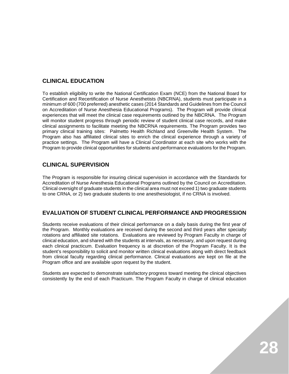## **CLINICAL EDUCATION**

To establish eligibility to write the National Certification Exam (NCE) from the National Board for Certification and Recertification of Nurse Anesthetists (NBCRNA), students must participate in a minimum of 600 (700 preferred) anesthetic cases (2014 Standards and Guidelines from the Council on Accreditation of Nurse Anesthesia Educational Programs). The Program will provide clinical experiences that will meet the clinical case requirements outlined by the NBCRNA. The Program will monitor student progress through periodic review of student clinical case records, and make clinical assignments to facilitate meeting the NBCRNA requirements. The Program provides two primary clinical training sites: Palmetto Health Richland and Greenville Health System. The Program also has affiliated clinical sites to enrich the clinical experience through a variety of practice settings. The Program will have a Clinical Coordinator at each site who works with the Program to provide clinical opportunities for students and performance evaluations for the Program.

## **CLINICAL SUPERVISION**

The Program is responsible for insuring clinical supervision in accordance with the Standards for Accreditation of Nurse Anesthesia Educational Programs outlined by the Council on Accreditation. Clinical oversight of graduate students in the clinical area must not exceed 1) two graduate students to one CRNA, or 2) two graduate students to one anesthesiologist, if no CRNA is involved.

## **EVALUATION OF STUDENT CLINICAL PERFORMANCE AND PROGRESSION**

Students receive evaluations of their clinical performance on a daily basis during the first year of the Program. Monthly evaluations are received during the second and third years after specialty rotations and affiliated site rotations. Evaluations are reviewed by Program Faculty in charge of clinical education, and shared with the students at intervals, as necessary, and upon request during each clinical practicum. Evaluation frequency is at discretion of the Program Faculty. It is the student's responsibility to solicit and monitor written clinical evaluations along with direct feedback from clinical faculty regarding clinical performance. Clinical evaluations are kept on file at the Program office and are available upon request by the student.

Students are expected to demonstrate satisfactory progress toward meeting the clinical objectives consistently by the end of each Practicum. The Program Faculty in charge of clinical education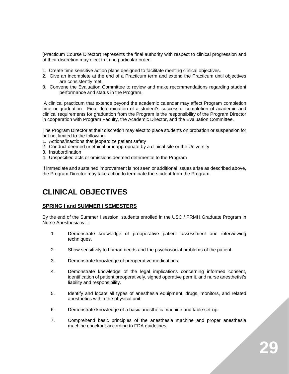(Practicum Course Director) represents the final authority with respect to clinical progression and at their discretion may elect to in no particular order:

- 1. Create time sensitive action plans designed to facilitate meeting clinical objectives.
- 2. Give an incomplete at the end of a Practicum term and extend the Practicum until objectives are consistently met.
- 3. Convene the Evaluation Committee to review and make recommendations regarding student performance and status in the Program.

A clinical practicum that extends beyond the academic calendar may affect Program completion time or graduation. Final determination of a student's successful completion of academic and clinical requirements for graduation from the Program is the responsibility of the Program Director in cooperation with Program Faculty, the Academic Director, and the Evaluation Committee.

The Program Director at their discretion may elect to place students on probation or suspension for but not limited to the following:

- 1. Actions/inactions that jeopardize patient safety
- 2. Conduct deemed unethical or inappropriate by a clinical site or the University
- 3. Insubordination
- 4. Unspecified acts or omissions deemed detrimental to the Program

If immediate and sustained improvement is not seen or additional issues arise as described above, the Program Director may take action to terminate the student from the Program.

# **CLINICAL OBJECTIVES**

#### **SPRING I and SUMMER I SEMESTERS**

By the end of the Summer I session, students enrolled in the USC / PRMH Graduate Program in Nurse Anesthesia will:

- 1. Demonstrate knowledge of preoperative patient assessment and interviewing techniques.
- 2. Show sensitivity to human needs and the psychosocial problems of the patient.
- 3. Demonstrate knowledge of preoperative medications.
- 4. Demonstrate knowledge of the legal implications concerning informed consent, identification of patient preoperatively, signed operative permit, and nurse anesthetist's liability and responsibility.
- 5. Identify and locate all types of anesthesia equipment, drugs, monitors, and related anesthetics within the physical unit.
- 6. Demonstrate knowledge of a basic anesthetic machine and table set-up.
- 7. Comprehend basic principles of the anesthesia machine and proper anesthesia machine checkout according to FDA guidelines.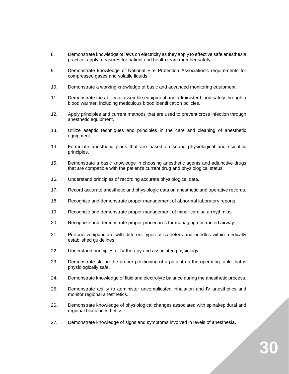- 8. Demonstrate knowledge of laws on electricity as they apply to effective safe anesthesia practice; apply measures for patient and health team member safety.
- 9. Demonstrate knowledge of National Fire Protection Association's requirements for compressed gases and volatile liquids.
- 10. Demonstrate a working knowledge of basic and advanced monitoring equipment.
- 11. Demonstrate the ability to assemble equipment and administer blood safely through a blood warmer, including meticulous blood identification policies.
- 12. Apply principles and current methods that are used to prevent cross infection through anesthetic equipment.
- 13. Utilize aseptic techniques and principles in the care and cleaning of anesthetic equipment.
- 14. Formulate anesthetic plans that are based on sound physiological and scientific principles.
- 15. Demonstrate a basic knowledge in choosing anesthetic agents and adjunctive drugs that are compatible with the patient's current drug and physiological status.
- 16. Understand principles of recording accurate physiological data.
- 17. Record accurate anesthetic and physiologic data on anesthetic and operative records.
- 18. Recognize and demonstrate proper management of abnormal laboratory reports.
- 19. Recognize and demonstrate proper management of minor cardiac arrhythmias.
- 20. Recognize and demonstrate proper procedures for managing obstructed airway.
- 21. Perform venipuncture with different types of catheters and needles within medically established guidelines.
- 22. Understand principles of IV therapy and associated physiology.
- 23. Demonstrate skill in the proper positioning of a patient on the operating table that is physiologically safe.
- 24. Demonstrate knowledge of fluid and electrolyte balance during the anesthetic process.
- 25. Demonstrate ability to administer uncomplicated inhalation and IV anesthetics and monitor regional anesthetics.
- 26. Demonstrate knowledge of physiological changes associated with spinal/epidural and regional block anesthetics.
- 27. Demonstrate knowledge of signs and symptoms involved in levels of anesthesia.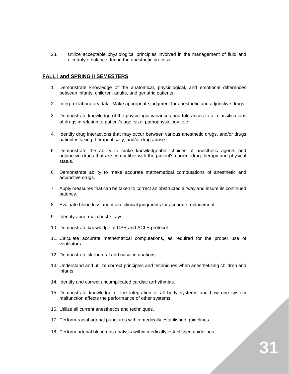28. Utilize acceptable physiological principles involved in the management of fluid and electrolyte balance during the anesthetic process.

## **FALL I and SPRING II SEMESTERS**

- 1. Demonstrate knowledge of the anatomical, physiological, and emotional differences between infants, children, adults, and geriatric patients.
- 2. Interpret laboratory data. Make appropriate judgment for anesthetic and adjunctive drugs.
- 3. Demonstrate knowledge of the physiologic variances and tolerances to all classifications of drugs in relation to patient's age, size, pathophysiology, etc.
- 4. Identify drug interactions that may occur between various anesthetic drugs, and/or drugs patient is taking therapeutically, and/or drug abuse.
- 5. Demonstrate the ability to make knowledgeable choices of anesthetic agents and adjunctive drugs that are compatible with the patient's current drug therapy and physical status.
- 6. Demonstrate ability to make accurate mathematical computations of anesthetic and adjunctive drugs.
- 7. Apply measures that can be taken to correct an obstructed airway and insure its continued patency.
- 8. Evaluate blood loss and make clinical judgments for accurate replacement.
- 9. Identify abnormal chest x-rays.
- 10. Demonstrate knowledge of CPR and ACLS protocol.
- 11. Calculate accurate mathematical computations, as required for the proper use of ventilators.
- 12. Demonstrate skill in oral and nasal intubations.
- 13. Understand and utilize correct principles and techniques when anesthetizing children and infants.
- 14. Identify and correct uncomplicated cardiac arrhythmias.
- 15. Demonstrate knowledge of the integration of all body systems and how one system malfunction affects the performance of other systems.
- 16. Utilize all current anesthetics and techniques.
- 17. Perform radial arterial punctures within medically established guidelines.
- 18. Perform arterial blood gas analysis within medically established guidelines.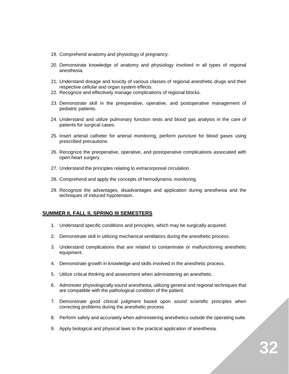- 19. Comprehend anatomy and physiology of pregnancy.
- 20. Demonstrate knowledge of anatomy and physiology involved in all types of regional anesthesia.
- 21. Understand dosage and toxicity of various classes of regional anesthetic drugs and their respective cellular and organ system effects.
- 22. Recognize and effectively manage complications of regional blocks.
- 23. Demonstrate skill in the preoperative, operative, and postoperative management of pediatric patients.
- 24. Understand and utilize pulmonary function tests and blood gas analysis in the care of patients for surgical cases.
- 25. Insert arterial catheter for arterial monitoring, perform puncture for blood gases using prescribed precautions.
- 26. Recognize the preoperative, operative, and postoperative complications associated with open-heart surgery.
- 27. Understand the principles relating to extracorporeal circulation.
- 28. Comprehend and apply the concepts of hemodynamic monitoring.
- 29. Recognize the advantages, disadvantages and application during anesthesia and the techniques of induced hypotension.

#### **SUMMER II, FALL II, SPRING III SEMESTERS**

- 1. Understand specific conditions and principles, which may be surgically acquired.
- 2. Demonstrate skill in utilizing mechanical ventilators during the anesthetic process.
- 3. Understand complications that are related to contaminate or malfunctioning anesthetic equipment.
- 4. Demonstrate growth in knowledge and skills involved in the anesthetic process.
- 5. Utilize critical thinking and assessment when administering an anesthetic.
- 6. Administer physiologically sound anesthesia, utilizing general and regional techniques that are compatible with the pathological condition of the patient.
- 7. Demonstrate good clinical judgment based upon sound scientific principles when correcting problems during the anesthetic process.
- 8. Perform safely and accurately when administering anesthetics outside the operating suite.
- 9. Apply biological and physical laws to the practical application of anesthesia.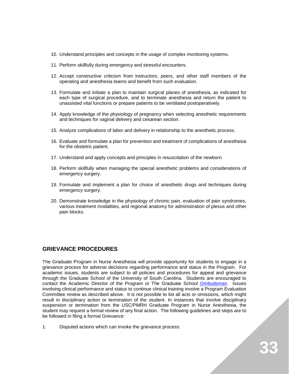- 10. Understand principles and concepts in the usage of complex monitoring systems.
- 11. Perform skillfully during emergency and stressful encounters.
- 12. Accept constructive criticism from instructors, peers, and other staff members of the operating and anesthesia teams and benefit from such evaluation.
- 13. Formulate and initiate a plan to maintain surgical planes of anesthesia, as indicated for each type of surgical procedure, and to terminate anesthesia and return the patient to unassisted vital functions or prepare patients to be ventilated postoperatively.
- 14. Apply knowledge of the physiology of pregnancy when selecting anesthetic requirements and techniques for vaginal delivery and cesarean section.
- 15. Analyze complications of labor and delivery in relationship to the anesthetic process.
- 16. Evaluate and formulate a plan for prevention and treatment of complications of anesthesia for the obstetric patient.
- 17. Understand and apply concepts and principles in resuscitation of the newborn.
- 18. Perform skillfully when managing the special anesthetic problems and considerations of emergency surgery.
- 19. Formulate and implement a plan for choice of anesthetic drugs and techniques during emergency surgery.
- 20. Demonstrate knowledge in the physiology of chronic pain, evaluation of pain syndromes, various treatment modalities, and regional anatomy for administration of plexus and other pain blocks.

## **GRIEVANCE PROCEDURES**

The Graduate Program in Nurse Anesthesia will provide opportunity for students to engage in a grievance process for adverse decisions regarding performance and status in the Program. For academic issues, students are subject to all policies and procedures for appeal and grievance through the Graduate School of the University of South Carolina. Students are encouraged to contact the Academic Director of the Program or The Graduate School [Ombudsman.](http://gradschool.sc.edu/students/ombs.asp) Issues involving clinical performance and status to continue clinical training involve a Program Evaluation Committee review as described above. It is not possible to list all acts or omissions, which might result in disciplinary action or termination of the student. In instances that involve disciplinary suspension or termination from the USC/PMRH Graduate Program in Nurse Anesthesia, the student may request a formal review of any final action. The following guidelines and steps are to be followed in filing a formal Grievance:

1. Disputed actions which can invoke the grievance process: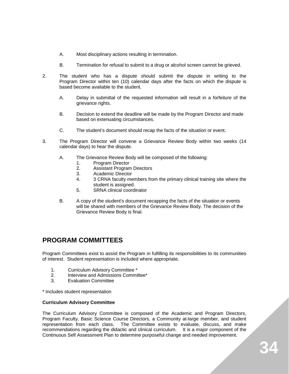- A. Most disciplinary actions resulting in termination.
- B. Termination for refusal to submit to a drug or alcohol screen cannot be grieved.
- 2. The student who has a dispute should submit the dispute in writing to the Program Director within ten (10) calendar days after the facts on which the dispute is based become available to the student.
	- A. Delay in submittal of the requested information will result in a forfeiture of the grievance rights.
	- B. Decision to extend the deadline will be made by the Program Director and made based on extenuating circumstances.
	- C. The student's document should recap the facts of the situation or event.
- 3. The Program Director will convene a Grievance Review Body within two weeks (14 calendar days) to hear the dispute.
	- A. The Grievance Review Body will be composed of the following:
		- 1. Program Director
		- 2. Assistant Program Directors<br>3. Academic Director
		- 3. Academic Director
		- 4. 3 CRNA faculty members from the primary clinical training site where the student is assigned.
		- 5. SRNA clinical coordinator
	- B. A copy of the student's document recapping the facts of the situation or events will be shared with members of the Grievance Review Body. The decision of the Grievance Review Body is final.

# **PROGRAM COMMITTEES**

Program Committees exist to assist the Program in fulfilling its responsibilities to its communities of interest. Student representation is included where appropriate.

- 1. Curriculum Advisory Committee \*
- 2. Interview and Admissions Committee\*<br>3 Evaluation Committee
- Evaluation Committee

\* Includes student representation

#### **Curriculum Advisory Committee**

The Curriculum Advisory Committee is composed of the Academic and Program Directors, Program Faculty, Basic Science Course Directors, a Community at-large member, and student representation from each class. The Committee exists to evaluate, discuss, and make recommendations regarding the didactic and clinical curriculum. It is a major component of the Continuous Self Assessment Plan to determine purposeful change and needed improvement.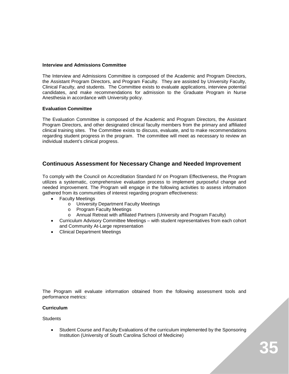#### **Interview and Admissions Committee**

The Interview and Admissions Committee is composed of the Academic and Program Directors, the Assistant Program Directors, and Program Faculty. They are assisted by University Faculty, Clinical Faculty, and students. The Committee exists to evaluate applications, interview potential candidates, and make recommendations for admission to the Graduate Program in Nurse Anesthesia in accordance with University policy.

#### **Evaluation Committee**

The Evaluation Committee is composed of the Academic and Program Directors, the Assistant Program Directors, and other designated clinical faculty members from the primary and affiliated clinical training sites. The Committee exists to discuss, evaluate, and to make recommendations regarding student progress in the program. The committee will meet as necessary to review an individual student's clinical progress.

## **Continuous Assessment for Necessary Change and Needed Improvement**

To comply with the Council on Accreditation Standard IV on Program Effectiveness, the Program utilizes a systematic, comprehensive evaluation process to implement purposeful change and needed improvement. The Program will engage in the following activities to assess information gathered from its communities of interest regarding program effectiveness:

- **Faculty Meetings** 
	- o University Department Faculty Meetings
	- o Program Faculty Meetings<br>
	o Annual Retreat with affiliate
	- Annual Retreat with affiliated Partners (University and Program Faculty)
- Curriculum Advisory Committee Meetings with student representatives from each cohort and Community At-Large representation
- Clinical Department Meetings

The Program will evaluate information obtained from the following assessment tools and performance metrics:

#### **Curriculum**

**Students** 

• Student Course and Faculty Evaluations of the curriculum implemented by the Sponsoring Institution (University of South Carolina School of Medicine)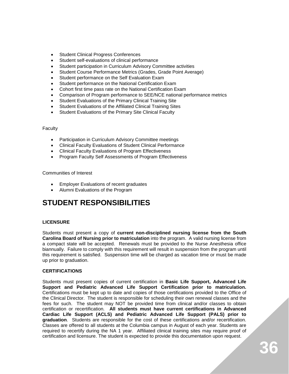- Student Clinical Progress Conferences
- Student self-evaluations of clinical performance
- Student participation in Curriculum Advisory Committee activities
- Student Course Performance Metrics (Grades, Grade Point Average)
- Student performance on the Self Evaluation Exam
- Student performance on the National Certification Exam
- Cohort first time pass rate on the National Certification Exam
- Comparison of Program performance to SEE/NCE national performance metrics
- Student Evaluations of the Primary Clinical Training Site
- Student Evaluations of the Affiliated Clinical Training Sites
- Student Evaluations of the Primary Site Clinical Faculty

#### **Faculty**

- Participation in Curriculum Advisory Committee meetings
- Clinical Faculty Evaluations of Student Clinical Performance
- Clinical Faculty Evaluations of Program Effectiveness
- Program Faculty Self Assessments of Program Effectiveness

Communities of Interest

- Employer Evaluations of recent graduates
- Alumni Evaluations of the Program

# **STUDENT RESPONSIBILITIES**

## **LICENSURE**

Students must present a copy of **current non-disciplined nursing license from the South Carolina Board of Nursing prior to matriculation** into the program. A valid nursing license from a compact state will be accepted. Renewals must be provided to the Nurse Anesthesia office biannually. Failure to comply with this requirement will result in suspension from the program until this requirement is satisfied. Suspension time will be charged as vacation time or must be made up prior to graduation.

#### **CERTIFICATIONS**

Students must present copies of current certification in **Basic Life Support, Advanced Life Support and Pediatric Advanced Life Support Certification prior to matriculation.**  Certifications must be kept up to date and copies of those certifications provided to the Office of the Clinical Director. The student is responsible for scheduling their own renewal classes and the fees for such. The student may NOT be provided time from clinical and/or classes to obtain certification or recertification. **All students must have current certifications in Advanced Cardiac Life Support (ACLS) and Pediatric Advanced Life Support (PALS) prior to graduation**. Students are responsible for the cost of these certifications and/or recertification. Classes are offered to all students at the Columbia campus in August of each year. Students are required to recertify during the NA 1 year. Affiliated clinical training sites may require proof of certification and licensure. The student is expected to provide this documentation upon request.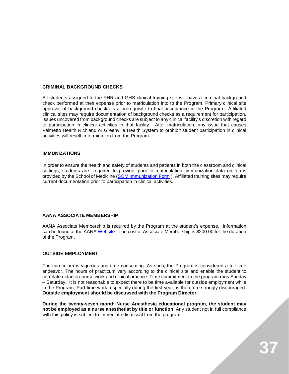#### **CRIMINAL BACKGROUND CHECKS**

All students assigned to the PHR and GHS clinical training site will have a criminal background check performed at their expense prior to matriculation into to the Program. Primary clinical site approval of background checks is a prerequisite to final acceptance in the Program. Affiliated clinical sites may require documentation of background checks as a requirement for participation. Issues uncovered from background checks are subject to any clinical facility's discretion with regard to participation in clinical activities in that facility. After matriculation, any issue that causes Palmetto Health Richland or Greenville Health System to prohibit student participation in clinical activities will result in termination from the Program.

#### **IMMUNIZATIONS**

In order to ensure the health and safety of students and patients in both the classroom and clinical settings, students are required to provide, prior to matriculation, immunization data on forms provided by the School of Medicine [\(SOM Immunization Form](http://studentservices.med.sc.edu/Immunization%20Record.pdf) ). Affiliated training sites may require current documentation prior to participation in clinical activities.

#### **AANA ASSOCIATE MEMBERSHIP**

AANA Associate Membership is required by the Program at the student's expense. Information can be found at the AANA [Website.](http://www.aana.com/ceandeducation/students/Pages/NewStudents.aspx) The cost of Associate Membership is \$200.00 for the duration of the Program.

#### **OUTSIDE EMPLOYMENT**

The curriculum is vigorous and time consuming. As such, the Program is considered a full time endeavor. The hours of practicum vary according to the clinical site and enable the student to correlate didactic course work and clinical practice. Time commitment to the program runs Sunday – Saturday. It is not reasonable to expect there to be time available for outside employment while in the Program. Part-time work, especially during the first year, is therefore strongly discouraged. **Outside employment should be discussed with the Program Director.**

**During the twenty-seven month Nurse Anesthesia educational program, the student may not be employed as a nurse anesthetist by title or function**. Any student not in full compliance with this policy is subject to immediate dismissal from the program.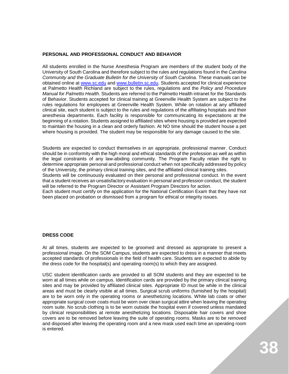#### **PERSONAL AND PROFESSIONAL CONDUCT AND BEHAVIOR**

All students enrolled in the Nurse Anesthesia Program are members of the student body of the University of South Carolina and therefore subject to the rules and regulations found in the *Carolina Community and the Graduate Bulletin for the University of South Carolina.* These manuals can be obtained online at [www.sc.edu](http://www.sc.edu/) and [www.bulletin.sc.edu.](http://www.bulletin.sc.edu/) Students accepted for clinical experience at Palmetto Health Richland are subject to the rules, regulations and the *Policy and Procedure Manual for Palmetto Health.* Students are referred to the Palmetto Health intranet for the Standards of Behavior. Students accepted for clinical training at Greenville Health System are subject to the rules regulations for employees at Greenville Health System. While on rotation at any affiliated clinical site, each student is subject to the rules and regulations of the affiliating hospitals and their anesthesia departments. Each facility is responsible for communicating its expectations at the beginning of a rotation. Students assigned to affiliated sites where housing is provided are expected to maintain the housing in a clean and orderly fashion. At NO time should the student house a pet where housing is provided. The student may be responsible for any damage caused to the site.

Students are expected to conduct themselves in an appropriate, professional manner. Conduct should be in conformity with the high moral and ethical standards of the profession as well as within the legal constraints of any law-abiding community. The Program Faculty retain the right to determine appropriate personal and professional conduct when not specifically addressed by policy of the University, the primary clinical training sites, and the affiliated clinical training sites. Students will be continuously evaluated on their personal and professional conduct. In the event that a student receives an unsatisfactory evaluation in personal and profession conduct, the student will be referred to the Program Director or Assistant Program Directors for action. Each student must certify on the application for the National Certification Exam that they have not been placed on probation or dismissed from a program for ethical or integrity issues.

#### **DRESS CODE**

At all times, students are expected to be groomed and dressed as appropriate to present a professional image. On the SOM Campus, students are expected to dress in a manner that meets accepted standards of professionals in the field of health care. Students are expected to abide by the dress code for the hospital(s) and operating room(s) to which they are assigned.

USC student identification cards are provided to all SOM students and they are expected to be worn at all times while on campus. Identification cards are provided by the primary clinical training sites and may be provided by affiliated clinical sites. Appropriate ID must be while in the clinical areas and must be clearly visible at all times. Surgical scrub uniforms (furnished by the hospital) are to be worn only in the operating rooms or anesthetizing locations. White lab coats or other appropriate surgical cover coats must be worn over clean surgical attire when leaving the operating room suite. No scrub clothing is to be worn outside the hospital even if covered unless mandated by clinical responsibilities at remote anesthetizing locations. Disposable hair covers and shoe covers are to be removed before leaving the suite of operating rooms. Masks are to be removed and disposed after leaving the operating room and a new mask used each time an operating room is entered.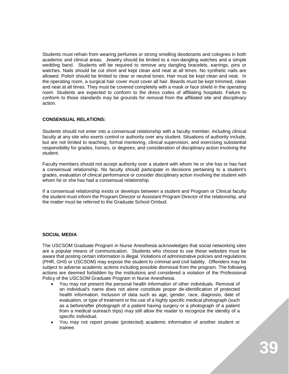Students must refrain from wearing perfumes or strong smelling deodorants and colognes in both academic and clinical areas. Jewelry should be limited to a non-dangling watches and a simple wedding band. Students will be required to remove any dangling bracelets, earrings, pins or watches. Nails should be cut short and kept clean and neat at all times. No synthetic nails are allowed. Polish should be limited to clear or neutral tones. Hair must be kept clean and neat. In the operating room, a surgical hair cover must cover all hair. Beards must be kept trimmed, clean and neat at all times. They must be covered completely with a mask or face shield in the operating room. Students are expected to conform to the dress codes of affiliating hospitals. Failure to conform to those standards may be grounds for removal from the affiliated site and disciplinary action.

#### **CONSENSUAL RELATIONS:**

Students should not enter into a consensual relationship with a faculty member, including clinical faculty at any site who exerts control or authority over any student. Situations of authority include, but are not limited to teaching, formal mentoring, clinical supervision, and exercising substantial responsibility for grades, honors, or degrees; and consideration of disciplinary action involving the student.

Faculty members should not accept authority over a student with whom he or she has or has had a consensual relationship. No faculty should participate in decisions pertaining to a student's grades, evaluation of clinical performance or consider disciplinary action involving the student with whom he or she has had a consensual relationship.

If a consensual relationship exists or develops between a student and Program or Clinical faculty the student must inform the Program Director or Assistant Program Director of the relationship, and the matter must be referred to the Graduate School Ombud.

#### **SOCIAL MEDIA**

The USCSOM Graduate Program in Nurse Anesthesia acknowledges that social networking sites are a popular means of communication. Students who choose to use these websites must be aware that posting certain information is illegal. Violations of administrative policies and regulations (PHR, GHS or USCSOM) may expose the student to criminal and civil liability. Offenders may be subject to adverse academic actions including possible dismissal from the program. The following actions are deemed forbidden by the institutions and considered a violation of the Professional Policy of the USCSOM Graduate Program in Nurse Anesthesia.

- You may not present the personal health information of other individuals. Removal of an individual's name does not alone constitute proper de-identification of protected health information. Inclusion of data such as age, gender, race, diagnosis, date of evaluation, or type of treatment or the use of a highly specific medical photograph (such as a before/after photograph of a patient having surgery or a photograph of a patient from a medical outreach trips) may still allow the reader to recognize the identity of a specific individual.
- You may not report private (protected) academic information of another student or trainee.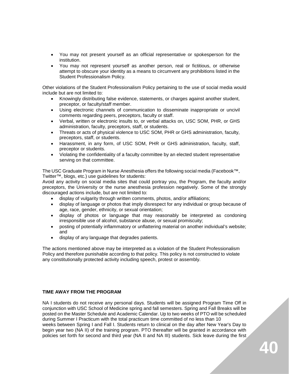- You may not present yourself as an official representative or spokesperson for the institution.
- You may not represent yourself as another person, real or fictitious, or otherwise attempt to obscure your identity as a means to circumvent any prohibitions listed in the Student Professionalism Policy.

Other violations of the Student Professionalism Policy pertaining to the use of social media would include but are not limited to:

- Knowingly distributing false evidence, statements, or charges against another student, preceptor, or faculty/staff member.
- Using electronic channels of communication to disseminate inappropriate or uncivil comments regarding peers, preceptors, faculty or staff.
- Verbal, written or electronic insults to, or verbal attacks on, USC SOM, PHR, or GHS administration, faculty, preceptors, staff, or students.
- Threats or acts of physical violence to USC SOM, PHR or GHS administration, faculty, preceptors, staff, or students.
- Harassment, in any form, of USC SOM, PHR or GHS administration, faculty, staff, preceptor or students.
- Violating the confidentiality of a faculty committee by an elected student representative serving on that committee.

The USC Graduate Program in Nurse Anesthesia offers the following social media (Facebook™, Twitter™, blogs, etc.) use guidelines for students:

Avoid any activity on social media sites that could portray you, the Program, the faculty and/or preceptors, the University or the nurse anesthesia profession negatively. Some of the strongly discouraged actions include, but are not limited to:

- display of vulgarity through written comments, photos, and/or affiliations;
- display of language or photos that imply disrespect for any individual or group because of age, race, gender, ethnicity, or sexual orientation;
- display of photos or language that may reasonably be interpreted as condoning irresponsible use of alcohol, substance abuse, or sexual promiscuity;
- posting of potentially inflammatory or unflattering material on another individual's website; and
- display of any language that degrades patients.

The actions mentioned above may be interpreted as a violation of the Student Professionalism Policy and therefore punishable according to that policy. This policy is not constructed to violate any constitutionally protected activity including speech, protest or assembly.

#### **TIME AWAY FROM THE PROGRAM**

NA I students do not receive any personal days. Students will be assigned Program Time Off in conjunction with USC School of Medicine spring and fall semesters. Spring and Fall Breaks will be posted on the Master Schedule and Academic Calendar. Up to two weeks of PTO will be scheduled during Summer I Practicum with the total practicum time committed of no less than 10 weeks between Spring I and Fall I. Students return to clinical on the day after New Year's Day to begin year two (NA II) of the training program. PTO thereafter will be granted in accordance with policies set forth for second and third year (NA II and NA III) students. Sick leave during the first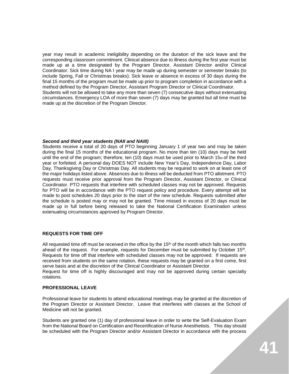year may result in academic ineligibility depending on the duration of the sick leave and the corresponding classroom commitment. Clinical absence due to illness during the first year must be made up at a time designated by the Program Director, Assistant Director and/or Clinical Coordinator. Sick time during NA I year may be made up during semester or semester breaks (to include Spring, Fall or Christmas breaks). Sick leave or absence in excess of 30 days during the final 15 months of the program must be made up prior to program completion in accordance with a method defined by the Program Director, Assistant Program Director or Clinical Coordinator. Students will not be allowed to take any more than seven (7) consecutive days without extenuating circumstances. Emergency LOA of more than seven (7) days may be granted but all time must be made up at the discretion of the Program Director.

#### *Second and third year students (NAII and NAIII)*

Students receive a total of 20 days of PTO beginning January 1 of year two and may be taken during the final 15 months of the educational program. No more than ten (10) days may be held until the end of the program; therefore, ten (10) days must be used prior to March 15th of the third year or forfeited. A personal day DOES NOT include New Year's Day, Independence Day, Labor Day, Thanksgiving Day or Christmas Day. All students may be required to work on at least one of the major holidays listed above. Absences due to illness will be deducted from PTO allotment. PTO requests must receive prior approval from the Program Director, Assistant Director, or Clinical Coordinator. PTO requests that interfere with scheduled classes may not be approved. Requests for PTO will be in accordance with the PTO request policy and procedure. Every attempt will be made to post schedules 20 days prior to the start of the new schedule. Requests submitted after the schedule is posted may or may not be granted. Time missed in excess of 20 days must be made up in full before being released to take the National Certification Examination unless extenuating circumstances approved by Program Director.

#### **REQUESTS FOR TIME OFF**

All requested time off must be received in the office by the  $15<sup>th</sup>$  of the month which falls two months ahead of the request. For example, requests for December must be submitted by October 15th. Requests for time off that interfere with scheduled classes may not be approved. If requests are received from students on the same rotation, these requests may be granted on a first come, first serve basis and at the discretion of the Clinical Coordinator or Assistant Director.

Request for time off is highly discouraged and may not be approved during certain specialty rotations.

#### **PROFESSIONAL LEAVE**

Professional leave for students to attend educational meetings may be granted at the discretion of the Program Director or Assistant Director. Leave that interferes with classes at the School of Medicine will not be granted.

Students are granted one (1) day of professional leave in order to write the Self-Evaluation Exam from the National Board on Certification and Recertification of Nurse Anesthetists. This day should be scheduled with the Program Director and/or Assistant Director in accordance with the process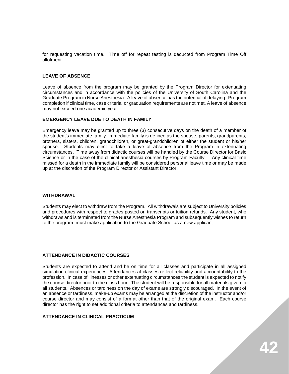for requesting vacation time. Time off for repeat testing is deducted from Program Time Off allotment.

#### **LEAVE OF ABSENCE**

Leave of absence from the program may be granted by the Program Director for extenuating circumstances and in accordance with the policies of the University of South Carolina and the Graduate Program in Nurse Anesthesia. A leave of absence has the potential of delaying Program completion if clinical time, case criteria, or graduation requirements are not met. A leave of absence may not exceed one academic year.

#### **EMERGENCY LEAVE DUE TO DEATH IN FAMILY**

Emergency leave may be granted up to three (3) consecutive days on the death of a member of the student's immediate family. Immediate family is defined as the spouse, parents, grandparents, brothers, sisters, children, grandchildren, or great-grandchildren of either the student or his/her spouse. Students may elect to take a leave of absence from the Program in extenuating circumstances. Time away from didactic courses will be handled by the Course Director for Basic Science or in the case of the clinical anesthesia courses by Program Faculty. Any clinical time missed for a death in the immediate family will be considered personal leave time or may be made up at the discretion of the Program Director or Assistant Director.

#### **WITHDRAWAL**

Students may elect to withdraw from the Program. All withdrawals are subject to University policies and procedures with respect to grades posted on transcripts or tuition refunds. Any student, who withdraws and is terminated from the Nurse Anesthesia Program and subsequently wishes to return to the program, must make application to the Graduate School as a new applicant.

#### **ATTENDANCE IN DIDACTIC COURSES**

Students are expected to attend and be on time for all classes and participate in all assigned simulation clinical experiences. Attendances at classes reflect reliability and accountability to the profession. In case of illnesses or other extenuating circumstances the student is expected to notify the course director prior to the class hour. The student will be responsible for all materials given to all students. Absences or tardiness on the day of exams are strongly discouraged. In the event of an absence or tardiness, make-up exams may be arranged at the discretion of the instructor and/or course director and may consist of a format other than that of the original exam. Each course director has the right to set additional criteria to attendances and tardiness.

#### **ATTENDANCE IN CLINICAL PRACTICUM**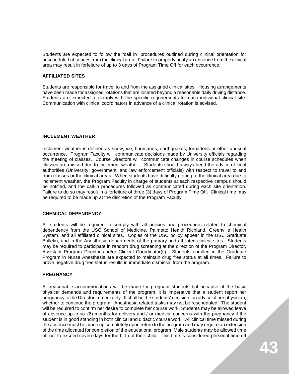Students are expected to follow the "call in" procedures outlined during clinical orientation for unscheduled absences from the clinical area. Failure to properly notify an absence from the clinical area may result in forfeiture of up to 3 days of Program Time Off for each occurrence.

#### **AFFILIATED SITES**

Students are responsible for travel to and from the assigned clinical sites. Housing arrangements have been made for assigned rotations that are located beyond a reasonable daily driving distance. Students are expected to comply with the specific requirements for each individual clinical site. Communication with clinical coordinators in advance of a clinical rotation is advised.

#### **INCLEMENT WEATHER**

Inclement weather is defined as snow, ice, hurricanes, earthquakes, tornadoes or other unusual occurrence. Program Faculty will communicate decisions made by University officials regarding the meeting of classes. Course Directors will communicate changes in course schedules when classes are missed due to inclement weather. Students should always heed the advice of local authorities (University, government, and law enforcement officials) with respect to travel to and from classes or the clinical areas. When students have difficulty getting to the clinical area due to inclement weather, the Program Faculty in charge of students at each respective campus should be notified, and the call-in procedures followed as communicated during each site orientation. Failure to do so may result in a forfeiture of three (3) days of Program Time Off. Clinical time may be required to be made up at the discretion of the Program Faculty.

#### **CHEMICAL DEPENDENCY**

All students will be required to comply with all policies and procedures related to chemical dependency from the USC School of Medicine, Palmetto Health Richland, Greenville Health System, and all affiliated clinical sites. Copies of the USC policy appear in the USC Graduate Bulletin, and in the Anesthesia departments of the primary and affiliated clinical sites. Students may be required to participate in random drug screening at the direction of the Program Director, Assistant Program Director and/or Clinical Coordinator(s). Students enrolled in the Graduate Program in Nurse Anesthesia are expected to maintain drug free status at all times. Failure to prove negative drug free status results in immediate dismissal from the program.

#### **PREGNANCY**

All reasonable accommodations will be made for pregnant students but because of the basic physical demands and requirements of the program, it is imperative that a student report her pregnancy to the Director immediately. It shall be the students' decision, on advice of her physician, whether to continue the program. Anesthesia related tasks may not be rescheduled. The student will be required to confirm her desire to complete her course work. Students may be allowed leave of absence up to six (6) months for delivery and / or medical concerns with the pregnancy if the student is in good standing in both clinical and didactic course work. All clinical time missed during the absence must be made up completely upon return to the program and may require an extension of the time allocated for completion of the educational program. Male students may be allowed time off not to exceed seven days for the birth of their child. This time is considered personal time off